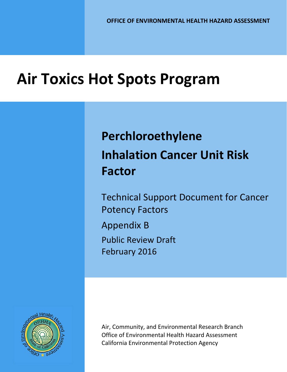# **Air Toxics Hot Spots Program**

# **Perchloroethylene Inhalation Cancer Unit Risk Factor**

Technical Support Document for Cancer Potency Factors Appendix B Public Review Draft February 2016



Air, Community, and Environmental Research Branch Office of Environmental Health Hazard Assessment California Environmental Protection Agency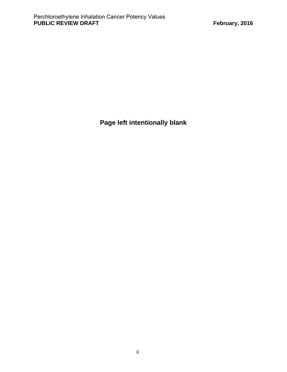**Page left intentionally blank**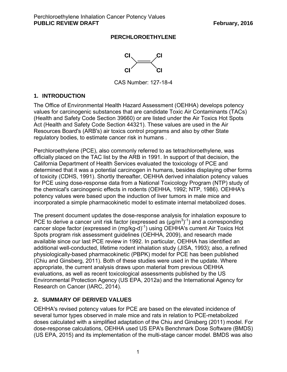# **PERCHLOROETHYLENE**



CAS Number: 127-18-4

# **1. INTRODUCTION**

The Office of Environmental Health Hazard Assessment (OEHHA) develops potency values for carcinogenic substances that are candidate Toxic Air Contaminants (TACs) (Health and Safety Code Section 39660) or are listed under the Air Toxics Hot Spots Act (Health and Safety Code Section 44321). These values are used in the Air Resources Board's (ARB's) air toxics control programs and also by other State regulatory bodies, to estimate cancer risk in humans .

Perchloroethylene (PCE), also commonly referred to as tetrachloroethylene, was officially placed on the TAC list by the ARB in 1991. In support of that decision, the California Department of Health Services evaluated the toxicology of PCE and determined that it was a potential carcinogen in humans, besides displaying other forms of toxicity (CDHS, 1991). Shortly thereafter, OEHHA derived inhalation potency values for PCE using dose-response data from a National Toxicology Program (NTP) study of the chemical's carcinogenic effects in rodents (OEHHA, 1992; NTP, 1986). OEHHA's potency values were based upon the induction of liver tumors in male mice and incorporated a simple pharmacokinetic model to estimate internal metabolized doses.

The present document updates the dose-response analysis for inhalation exposure to PCE to derive a cancer unit risk factor (expressed as  $(\mu g/m^3)^{-1}$ ) and a corresponding cancer slope factor (expressed in (mg/kg-d)<sup>-1</sup>) using OEHHA's current Air Toxics Hot Spots program risk assessment guidelines (OEHHA, 2009), and research made available since our last PCE review in 1992. In particular, OEHHA has identified an additional well-conducted, lifetime rodent inhalation study (JISA, 1993); also, a refined physiologically-based pharmacokinetic (PBPK) model for PCE has been published (Chiu and Ginsberg, 2011). Both of these studies were used in the update. Where appropriate, the current analysis draws upon material from previous OEHHA evaluations, as well as recent toxicological assessments published by the US Environmental Protection Agency (US EPA, 2012a) and the International Agency for Research on Cancer (IARC, 2014).

# **2. SUMMARY OF DERIVED VALUES**

OEHHA's revised potency values for PCE are based on the elevated incidence of several tumor types observed in male mice and rats in relation to PCE-metabolized doses calculated with a simplified adaptation of the Chiu and Ginsberg (2011) model. For dose-response calculations, OEHHA used US EPA's Benchmark Dose Software (BMDS) (US EPA, 2015) and its implementation of the multi-stage cancer model. BMDS was also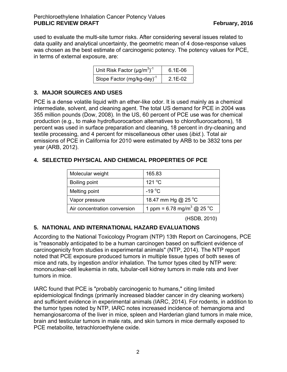used to evaluate the multi-site tumor risks. After considering several issues related to data quality and analytical uncertainty, the geometric mean of 4 dose-response values was chosen as the best estimate of carcinogenic potency. The potency values for PCE, in terms of external exposure, are:

| Unit Risk Factor $(\mu g/m^3)^{-1}$    | $6.1E-06$ |
|----------------------------------------|-----------|
| Slope Factor (mg/kg-day) <sup>-1</sup> | $2.1E-02$ |

# **3. MAJOR SOURCES AND USES**

PCE is a dense volatile liquid with an ether-like odor. It is used mainly as a chemical intermediate, solvent, and cleaning agent. The total US demand for PCE in 2004 was 355 million pounds (Dow, 2008). In the US, 60 percent of PCE use was for chemical production (e.g., to make hydrofluorocarbon alternatives to chlorofluorocarbons), 18 percent was used in surface preparation and cleaning, 18 percent in dry-cleaning and textile processing, and 4 percent for miscellaneous other uses (*ibid.*). Total air emissions of PCE in California for 2010 were estimated by ARB to be 3832 tons per year (ARB, 2012).

# **4. SELECTED PHYSICAL AND CHEMICAL PROPERTIES OF PCE**

| Molecular weight             | 165.83                                 |
|------------------------------|----------------------------------------|
| Boiling point                | 121 °C                                 |
| Melting point                | $-19^{\circ}$ C                        |
| Vapor pressure               | 18.47 mm Hg @ 25 °C                    |
| Air concentration conversion | 1 ppm = 6.78 mg/m <sup>3</sup> @ 25 °C |

(HSDB, 2010)

# **5. NATIONAL AND INTERNATIONAL HAZARD EVALUATIONS**

According to the National Toxicology Program (NTP) 13th Report on Carcinogens, PCE is "reasonably anticipated to be a human carcinogen based on sufficient evidence of carcinogenicity from studies in experimental animals" (NTP, 2014). The NTP report noted that PCE exposure produced tumors in multiple tissue types of both sexes of mice and rats, by ingestion and/or inhalation. The tumor types cited by NTP were: mononuclear-cell leukemia in rats, tubular-cell kidney tumors in male rats and liver tumors in mice.

IARC found that PCE is "probably carcinogenic to humans," citing limited epidemiological findings (primarily increased bladder cancer in dry cleaning workers) and sufficient evidence in experimental animals (IARC, 2014). For rodents, in addition to the tumor types noted by NTP, IARC notes increased incidence of: hemangioma and hemangiosarcoma of the liver in mice, spleen and Harderian gland tumors in male mice, brain and testicular tumors in male rats, and skin tumors in mice dermally exposed to PCE metabolite, tetrachloroethylene oxide.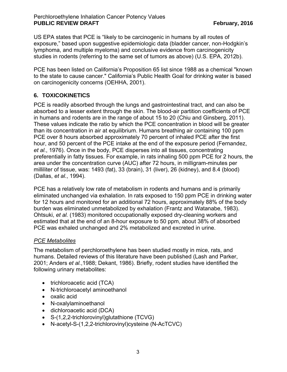US EPA states that PCE is "likely to be carcinogenic in humans by all routes of exposure," based upon suggestive epidemiologic data (bladder cancer, non-Hodgkin's lymphoma, and multiple myeloma) and conclusive evidence from carcinogenicity studies in rodents (referring to the same set of tumors as above) (U.S. EPA, 2012b).

PCE has been listed on California's Proposition 65 list since 1988 as a chemical "known to the state to cause cancer." California's Public Health Goal for drinking water is based on carcinogenicity concerns (OEHHA, 2001).

# **6. TOXICOKINETICS**

PCE is readily absorbed through the lungs and gastrointestinal tract, and can also be absorbed to a lesser extent through the skin. The blood-air partition coefficients of PCE in humans and rodents are in the range of about 15 to 20 (Chiu and Ginsberg, 2011). These values indicate the ratio by which the PCE concentration in blood will be greater than its concentration in air at equilibrium. Humans breathing air containing 100 ppm PCE over 8 hours absorbed approximately 70 percent of inhaled PCE after the first hour, and 50 percent of the PCE intake at the end of the exposure period (Fernandez, *et al.*, 1976). Once in the body, PCE disperses into all tissues, concentrating preferentially in fatty tissues. For example, in rats inhaling 500 ppm PCE for 2 hours, the area under the concentration curve (AUC) after 72 hours, in milligram-minutes per milliliter of tissue, was: 1493 (fat), 33 (brain), 31 (liver), 26 (kidney), and 8.4 (blood) (Dallas, *et al.*, 1994).

PCE has a relatively low rate of metabolism in rodents and humans and is primarily eliminated unchanged via exhalation. In rats exposed to 150 ppm PCE in drinking water for 12 hours and monitored for an additional 72 hours, approximately 88% of the body burden was eliminated unmetabolized by exhalation (Frantz and Watanabe, 1983). Ohtsuki, *et al.* (1983) monitored occupationally exposed dry-cleaning workers and estimated that at the end of an 8-hour exposure to 50 ppm, about 38% of absorbed PCE was exhaled unchanged and 2% metabolized and excreted in urine.

# *PCE Metabolites*

The metabolism of perchloroethylene has been studied mostly in mice, rats, and humans. Detailed reviews of this literature have been published (Lash and Parker, 2001; Anders *et al.*,1988; Dekant, 1986). Briefly, rodent studies have identified the following urinary metabolites:

- trichloroacetic acid (TCA)
- N-trichloroacetyl aminoethanol
- oxalic acid
- N-oxalylaminoethanol
- dichloroacetic acid (DCA)
- S-(1,2,2-trichlorovinyl)glutathione (TCVG)
- N-acetyl-S-(1,2,2-trichlorovinyl)cysteine (N-AcTCVC)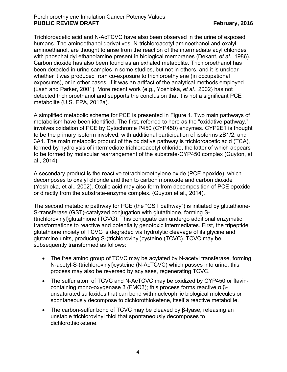exposures), or in other cases, if it was an artifact of the analytical methods employed Trichloroacetic acid and N-AcTCVC have also been observed in the urine of exposed humans. The aminoethanol derivatives, N-trichloroacetyl aminoethanol and oxalyl aminoethanol, are thought to arise from the reaction of the intermediate acyl chlorides with phosphatidyl ethanolamine present in biological membranes (Dekant, *et al.*, 1986). Carbon dioxide has also been found as an exhaled metabolite. Trichloroethanol has been detected in urine samples in some studies, but not in others, and it is unclear whether it was produced from co-exposure to trichloroethylene (in occupational (Lash and Parker, 2001). More recent work (e.g., Yoshioka, *et al.*, 2002) has not detected trichloroethanol and supports the conclusion that it is not a significant PCE metabolite (U.S. EPA, 2012a).

A simplified metabolic scheme for PCE is presented in Figure 1. Two main pathways of metabolism have been identified. The first, referred to here as the "oxidative pathway," involves oxidation of PCE by Cytochrome P450 (CYP450) enzymes. CYP2E1 is thought to be the primary isoform involved, with additional participation of isoforms 2B1/2, and 3A4. The main metabolic product of the oxidative pathway is trichloroacetic acid (TCA), formed by hydrolysis of intermediate trichloroacetyl chloride, the latter of which appears to be formed by molecular rearrangement of the substrate-CYP450 complex (Guyton, et al., 2014).

A secondary product is the reactive tetrachloroethylene oxide (PCE epoxide), which decomposes to oxalyl chloride and then to carbon monoxide and carbon dioxide (Yoshioka, et al., 2002). Oxalic acid may also form from decomposition of PCE epoxide or directly from the substrate-enzyme complex. (Guyton et al., 2014).

The second metabolic pathway for PCE (the "GST pathway") is initiated by glutathione-S-transferase (GST)-catalyzed conjugation with glutathione, forming S (trichlorovinyl)glutathione (TCVG). This conjugate can undergo additional enzymatic transformations to reactive and potentially genotoxic intermediates. First, the tripeptide glutathione moiety of TCVG is degraded via hydrolytic cleavage of its glycine and glutamine units, producing S-(trichlorovinyl)cysteine (TCVC). TCVC may be subsequently transformed as follows:

- The free amino group of TCVC may be acylated by N-acetyl transferase, forming N-acetyl-S-(trichlorovinyl)cysteine (N-AcTCVC) which passes into urine; this process may also be reversed by acylases, regenerating TCVC.
- The sulfur atom of TCVC and N-AcTCVC may be oxidized by CYP450 or flavincontaining mono-oxygenase 3 (FMO3); this process forms reactive α,βunsaturated sulfoxides that can bond with nucleophilic biological molecules or spontaneously decompose to dichlorothioketene, itself a reactive metabolite.
- The carbon-sulfur bond of TCVC may be cleaved by β-lyase, releasing an unstable trichlorovinyl thiol that spontaneously decomposes to dichlorothioketene.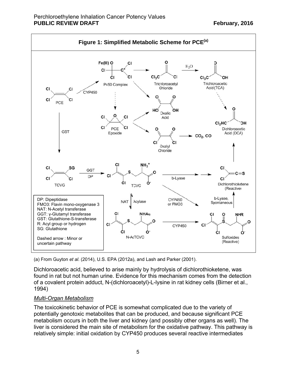

(a) From Guyton *et al.* (2014), U.S. EPA (2012a), and Lash and Parker (2001).

Dichloroacetic acid, believed to arise mainly by hydrolysis of dichlorothioketene, was found in rat but not human urine. Evidence for this mechanism comes from the detection of a covalent protein adduct, N-(dichloroacetyl)-L-lysine in rat kidney cells (Birner et al., 1994)

# *Multi-Organ Metabolism*

The toxicokinetic behavior of PCE is somewhat complicated due to the variety of potentially genotoxic metabolites that can be produced, and because significant PCE metabolism occurs in both the liver and kidney (and possibly other organs as well). The liver is considered the main site of metabolism for the oxidative pathway. This pathway is relatively simple: initial oxidation by CYP450 produces several reactive intermediates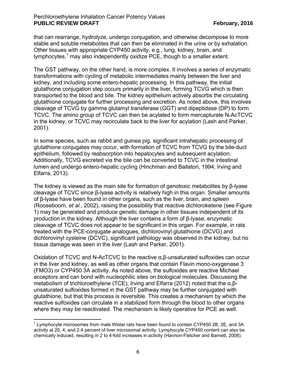that can rearrange, hydrolyze, undergo conjugation, and otherwise decompose to more stable and soluble metabolites that can then be eliminated in the urine or by exhalation. Other tissues with appropriate CYP450 activity, e.g., lung, kidney, brain, and lymphocytes,<sup>1</sup> may also independently oxidize PCE, though to a smaller extent.

The GST pathway, on the other hand, is more complex. It involves a series of enzymatic transformations with cycling of metabolic intermediates mainly between the liver and kidney, and including some entero-hepatic processing. In this pathway, the initial glutathione conjugation step occurs primarily in the liver, forming TCVG which is then transported to the blood and bile. The kidney epithelium actively absorbs the circulating glutathione conjugate for further processing and excretion. As noted above, this involves cleavage of TCVG by gamma glutamyl transferase (GGT) and dipeptidase (DP) to form TCVC. The amino group of TCVC can then be acylated to form mercapturate N-AcTCVC in the kidney, or TCVC may recirculate back to the liver for acylation (Lash and Parker, 2001).

In some species, such as rabbit and guinea pig, significant intrahepatic processing of glutathione conjugates may occur, with formation of TCVC from TCVG by the bile-duct epithelium, followed by reabsorption into hepatocytes and subsequent acylation. Additionally, TCVG excreted via the bile can be converted to TCVC in the intestinal lumen and undergo entero-hepatic cycling (Hinchman and Ballatori, 1994; Irving and Elfarra, 2013).

The kidney is viewed as the main site for formation of genotoxic metabolites by β-lyase cleavage of TCVC since β-lyase activity is relatively high in this organ. Smaller amounts of β-lyase have been found in other organs, such as the liver, brain, and spleen (Rooseboom, *et al.*, 2002), raising the possibility that reactive dichloroketene (see Figure 1) may be generated and produce genetic damage in other tissues independent of its production in the kidney. Although the liver contains a form of β-lyase, enzymatic cleavage of TCVC does not appear to be significant in this organ. For example, in rats treated with the PCE-conjugate analogues, dichlorovinyl glutathione (DCVG) and dichlorovinyl cysteine (DCVC), significant pathology was observed in the kidney, but no tissue damage was seen in the liver (Lash and Parker, 2001).

Oxidation of TCVC and N-AcTCVC to the reactive α,β-unsaturated sulfoxides can occur in the liver and kidney, as well as other organs that contain Flavin mono-oxygenase 3 (FMO3) or CYP450 3A activity. As noted above, the sulfoxides are reactive Michael acceptors and can bond with nucleophilic sites on biological molecules. Discussing the metabolism of trichloroethylene (TCE), Irving and Elfarra (2012) noted that the α,βunsaturated sulfoxides formed in the GST pathway may be further conjugated with glutathione, but that this process is reversible. This creates a mechanism by which the reactive sulfoxides can circulate in a stabilized form through the blood to other organs where they may be reactivated. The mechanism is likely operative for PCE as well.

 $\frac{1}{\sqrt{2}}$  . The contract of the contract of the contract of  $\frac{1}{\sqrt{2}}$  .  $1$  Lymphocyte microsomes from male Wistar rats have been found to contain CYP450 2B, 2E, and 3A activity at 20, 4, and 2.4 percent of liver microsomal activity. Lymphocyte CYP450 content can also be chemically induced, resulting in 2 to 4-fold increases in activity (Hannon-Fletcher and Barnett, 2008).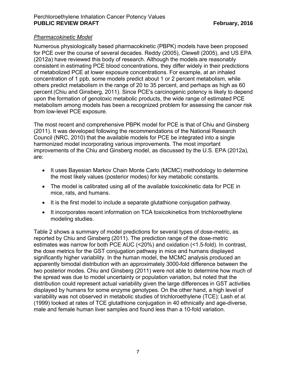# *Pharmacokinetic Model*

Numerous physiologically based pharmacokinetic (PBPK) models have been proposed for PCE over the course of several decades. Reddy (2005), Clewell (2005), and US EPA (2012a) have reviewed this body of research. Although the models are reasonably consistent in estimating PCE blood concentrations, they differ widely in their predictions of metabolized PCE at lower exposure concentrations. For example, at an inhaled concentration of 1 ppb, some models predict about 1 or 2 percent metabolism, while others predict metabolism in the range of 20 to 35 percent, and perhaps as high as 60 percent (Chiu and Ginsberg, 2011). Since PCE's carcinogenic potency is likely to depend upon the formation of genotoxic metabolic products, the wide range of estimated PCE metabolism among models has been a recognized problem for assessing the cancer risk from low-level PCE exposure.

The most recent and comprehensive PBPK model for PCE is that of Chiu and Ginsberg (2011). It was developed following the recommendations of the National Research Council (NRC, 2010) that the available models for PCE be integrated into a single harmonized model incorporating various improvements. The most important improvements of the Chiu and Ginsberg model, as discussed by the U.S. EPA (2012a), are:

- It uses Bayesian Markov Chain Monte Carlo (MCMC) methodology to determine the most likely values (posterior modes) for key metabolic constants.
- The model is calibrated using all of the available toxicokinetic data for PCE in mice, rats, and humans.
- It is the first model to include a separate glutathione conjugation pathway.
- It incorporates recent information on TCA toxicokinetics from trichloroethylene modeling studies.

Table 2 shows a summary of model predictions for several types of dose-metric, as reported by Chiu and Ginsberg (2011). The prediction range of the dose-metric estimates was narrow for both PCE AUC (<20%) and oxidation (<1.5-fold). In contrast, the dose metrics for the GST conjugation pathway in mice and humans displayed significantly higher variability. In the human model, the MCMC analysis produced an apparently bimodal distribution with an approximately 3000-fold difference between the two posterior modes. Chiu and Ginsberg (2011) were not able to determine how much of the spread was due to model uncertainty or population variation, but noted that the distribution could represent actual variability given the large differences in GST activities displayed by humans for some enzyme genotypes. On the other hand, a high level of variability was not observed in metabolic studies of trichloroethylene (TCE): Lash *et al.*  (1999) looked at rates of TCE glutathione conjugation in 40 ethnically and age-diverse, male and female human liver samples and found less than a 10-fold variation.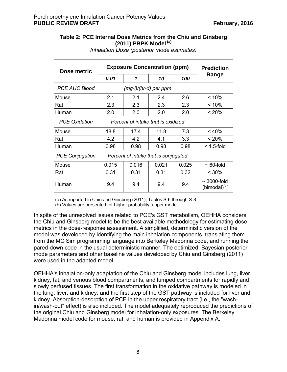# **Table 2: PCE Internal Dose Metrics from the Chiu and Ginsberg (2011) PBPK Model (a)**

| Dose metric            | <b>Exposure Concentration (ppm)</b> | <b>Prediction</b> |                                      |       |                                       |
|------------------------|-------------------------------------|-------------------|--------------------------------------|-------|---------------------------------------|
|                        | 0.01                                | 1                 | 10                                   | 100   | Range                                 |
| <b>PCE AUC Blood</b>   |                                     |                   |                                      |       |                                       |
| Mouse                  | 2.1                                 | 2.1               | 2.4                                  | 2.6   | < 10%                                 |
| Rat                    | 2.3                                 | 2.3               | 2.3                                  | 2.3   | < 10%                                 |
| Human                  | 2.0                                 | 2.0               | 2.0                                  | 2.0   | < 20%                                 |
| <b>PCE Oxidation</b>   | Percent of intake that is oxidized  |                   |                                      |       |                                       |
| Mouse                  | 18.8                                | 17.4              | 11.8                                 | 7.3   | $~10\%$                               |
| Rat                    | 4.2                                 | 4.2               | 4.1                                  | 3.3   | $~120\%$                              |
| Human                  | 0.98                                | 0.98              | 0.98                                 | 0.98  | $<$ 1.5-fold                          |
| <b>PCE Conjugation</b> |                                     |                   | Percent of intake that is conjugated |       |                                       |
| Mouse                  | 0.015                               | 0.016             | 0.021                                | 0.025 | $\sim$ 60-fold                        |
| Rat                    | 0.31                                | 0.31              | 0.31                                 | 0.32  | $< 30\%$                              |
| Human                  | 9.4                                 | 9.4               | 9.4                                  | 9.4   | $\sim$ 3000-fold<br>$(bimodal)^{(b)}$ |

*Inhalation Dose (posterior mode estimates)* 

(a) As reported in Chiu and Ginsberg (2011), Tables S-6 through S-8.

(b) Values are presented for higher probability, upper mode.

In spite of the unresolved issues related to PCE's GST metabolism, OEHHA considers the Chiu and Ginsberg model to be the best available methodology for estimating dose metrics in the dose-response assessment. A simplified, deterministic version of the model was developed by identifying the main inhalation components, translating them from the MC Sim programming language into Berkeley Madonna code, and running the pared-down code in the usual deterministic manner. The optimized, Bayesian posterior mode parameters and other baseline values developed by Chiu and Ginsberg (2011) were used in the adapted model.

OEHHA's inhalation-only adaptation of the Chiu and Ginsberg model includes lung, liver, kidney, fat, and venous blood compartments, and lumped compartments for rapidly and slowly perfused tissues. The first transformation in the oxidative pathway is modeled in the lung, liver, and kidney, and the first step of the GST pathway is included for liver and kidney. Absorption-desorption of PCE in the upper respiratory tract (i.e., the "washin/wash-out" effect) is also included. The model adequately reproduced the predictions of the original Chiu and Ginsberg model for inhalation-only exposures. The Berkeley Madonna model code for mouse, rat, and human is provided in Appendix A.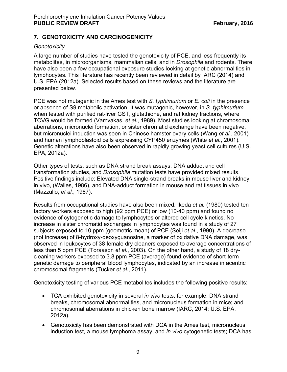# **7. GENOTOXICITY AND CARCINOGENICITY**

# *Genotoxicity*

A large number of studies have tested the genotoxicity of PCE, and less frequently its metabolites, in microorganisms, mammalian cells, and in *Drosophila* and rodents. There have also been a few occupational exposure studies looking at genetic abnormalities in lymphocytes. This literature has recently been reviewed in detail by IARC (2014) and U.S. EPA (2012a). Selected results based on these reviews and the literature are presented below.

PCE was not mutagenic in the Ames test with *S. typhimurium* or *E. coli* in the presence or absence of S9 metabolic activation. It was mutagenic, however, in *S. typhimurium*  when tested with purified rat-liver GST, glutathione, and rat kidney fractions, where TCVG would be formed (Vamvakas, *et al.*, 1989). Most studies looking at chromosomal aberrations, micronuclei formation, or sister chromatid exchange have been negative, but micronuclei induction was seen in Chinese hamster ovary cells (Wang *et al.*, 2001) and human lymphoblastoid cells expressing CYP450 enzymes (White *et al.*, 2001). Genetic alterations have also been observed in rapidly growing yeast cell cultures (U.S. EPA, 2012a).

Other types of tests, such as DNA strand break assays, DNA adduct and cell transformation studies, and *Drosophila* mutation tests have provided mixed results. Positive findings include: Elevated DNA single-strand breaks in mouse liver and kidney in vivo, (Walles, 1986), and DNA-adduct formation in mouse and rat tissues in vivo (Mazzullo, *et al.*, 1987).

Results from occupational studies have also been mixed. Ikeda *et al.* (1980) tested ten factory workers exposed to high (92 ppm PCE) or low (10-40 ppm) and found no evidence of cytogenetic damage to lymphocytes or altered cell cycle kinetics. No increase in sister chromatid exchanges in lymphocytes was found in a study of 27 subjects exposed to 10 ppm (geometric mean) of PCE (Seiji *et al.*, 1990). A decrease (not increase) of 8-hydroxy-deoxyguanosine, a marker of oxidative DNA damage, was observed in leukocytes of 38 female dry cleaners exposed to average concentrations of less than 5 ppm PCE (Toraason *et al.*, 2003). On the other hand, a study of 18 drycleaning workers exposed to 3.8 ppm PCE (average) found evidence of short-term genetic damage to peripheral blood lymphocytes, indicated by an increase in acentric chromosomal fragments (Tucker *et al.*, 2011).

Genotoxicity testing of various PCE metabolites includes the following positive results:

- TCA exhibited genotoxicity in several *in vivo* tests, for example: DNA strand breaks, chromosomal abnormalities, and micronucleus formation in mice; and chromosomal aberrations in chicken bone marrow (IARC, 2014; U.S. EPA, 2012a).
- Genotoxicity has been demonstrated with DCA in the Ames test, micronucleus induction test, a mouse lymphoma assay, and *in vivo* cytogenetic tests; DCA has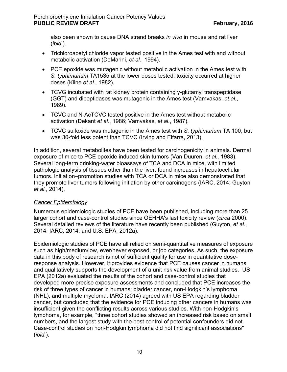also been shown to cause DNA strand breaks *in vivo* in mouse and rat liver (*ibid.*).

- Trichloroacetyl chloride vapor tested positive in the Ames test with and without metabolic activation (DeMarini, *et al.*, 1994).
- PCE epoxide was mutagenic without metabolic activation in the Ames test with *S. typhimurium* TA1535 at the lower doses tested; toxicity occurred at higher doses (Kline *et al.*, 1982).
- TCVG incubated with rat kidney protein containing γ-glutamyl transpeptidase (GGT) and dipeptidases was mutagenic in the Ames test (Vamvakas, *et al.*, 1989).
- TCVC and N-AcTCVC tested positive in the Ames test without metabolic activation (Dekant *et al.*, 1986; Vamvakas, *et al.*, 1987).
- TCVC sulfoxide was mutagenic in the Ames test with *S. typhimurium* TA 100, but was 30-fold less potent than TCVC (Irving and Elfarra, 2013).

In addition, several metabolites have been tested for carcinogenicity in animals. Dermal exposure of mice to PCE epoxide induced skin tumors (Van Duuren, *et al.,* 1983). Several long-term drinking-water bioassays of TCA and DCA in mice, with limited pathologic analysis of tissues other than the liver, found increases in hepatocellular tumors. Initiation–promotion studies with TCA or DCA in mice also demonstrated that they promote liver tumors following initiation by other carcinogens (IARC, 2014; Guyton *et al.*, 2014).

# *Cancer Epidemiology*

Numerous epidemiologic studies of PCE have been published, including more than 25 larger cohort and case-control studies since OEHHA's last toxicity review (*circa* 2000). Several detailed reviews of the literature have recently been published (Guyton, *et al.*, 2014; IARC, 2014; and U.S. EPA, 2012a).

Epidemiologic studies of PCE have all relied on semi-quantitative measures of exposure such as high/medium/low, ever/never exposed, or job categories. As such, the exposure data in this body of research is not of sufficient quality for use in quantitative doseresponse analysis. However, it provides evidence that PCE causes cancer in humans and qualitatively supports the development of a unit risk value from animal studies. US EPA (2012a) evaluated the results of the cohort and case-control studies that developed more precise exposure assessments and concluded that PCE increases the risk of three types of cancer in humans: bladder cancer, non-Hodgkin's lymphoma (NHL), and multiple myeloma. IARC (2014) agreed with US EPA regarding bladder cancer, but concluded that the evidence for PCE inducing other cancers in humans was insufficient given the conflicting results across various studies. With non-Hodgkin's lymphoma, for example, "three cohort studies showed an increased risk based on small numbers, and the largest study with the best control of potential confounders did not. Case-control studies on non-Hodgkin lymphoma did not find significant associations" (*ibid.*).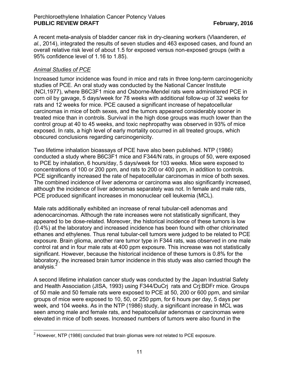A recent meta-analysis of bladder cancer risk in dry-cleaning workers (Vlaanderen, *et al.*, 2014), integrated the results of seven studies and 463 exposed cases, and found an overall relative risk level of about 1.5 for exposed versus non-exposed groups (with a 95% confidence level of 1.16 to 1.85).

# *Animal Studies of PCE*

Increased tumor incidence was found in mice and rats in three long-term carcinogenicity studies of PCE. An oral study was conducted by the National Cancer Institute (NCI,1977), where B6C3F1 mice and Osborne-Mendel rats were administered PCE in corn oil by gavage, 5 days/week for 78 weeks with additional follow-up of 32 weeks for rats and 12 weeks for mice. PCE caused a significant increase of hepatocellular carcinomas in mice of both sexes, and the tumors appeared considerably sooner in treated mice than in controls. Survival in the high dose groups was much lower than the control group at 40 to 45 weeks, and toxic nephropathy was observed in 93% of mice exposed. In rats, a high level of early mortality occurred in all treated groups, which obscured conclusions regarding carcinogenicity.

Two lifetime inhalation bioassays of PCE have also been published. NTP (1986) conducted a study where B6C3F1 mice and F344/N rats, in groups of 50, were exposed to PCE by inhalation, 6 hours/day, 5 days/week for 103 weeks. Mice were exposed to concentrations of 100 or 200 ppm, and rats to 200 or 400 ppm, in addition to controls. PCE significantly increased the rate of hepatocellular carcinomas in mice of both sexes. The combined incidence of liver adenoma or carcinoma was also significantly increased, although the incidence of liver adenomas separately was not. In female and male rats, PCE produced significant increases in mononuclear cell leukemia (MCL).

Male rats additionally exhibited an increase of renal tubular-cell adenomas and adenocarcinomas. Although the rate increases were not statistically significant, they appeared to be dose-related. Moreover, the historical incidence of these tumors is low (0.4%) at the laboratory and increased incidence has been found with other chlorinated ethanes and ethylenes. Thus renal tubular-cell tumors were judged to be related to PCE exposure. Brain glioma, another rare tumor type in F344 rats, was observed in one male control rat and in four male rats at 400 ppm exposure. This increase was not statistically significant. However, because the historical incidence of these tumors is 0.8% for the laboratory, the increased brain tumor incidence in this study was also carried though the analysis.<sup>2</sup>

A second lifetime inhalation cancer study was conducted by the Japan Industrial Safety and Health Association (JISA, 1993) using F344/DuCrj rats and Crj:BDFr mice. Groups of 50 male and 50 female rats were exposed to PCE at 50, 200 or 600 ppm, and similar groups of mice were exposed to 10, 50, or 250 ppm, for 6 hours per day, 5 days per week, and 104 weeks. As in the NTP (1986) study, a significant increase in MCL was seen among male and female rats, and hepatocellular adenomas or carcinomas were elevated in mice of both sexes. Increased numbers of tumors were also found in the

 2 However, NTP (1986) concluded that brain gliomas were not related to PCE exposure.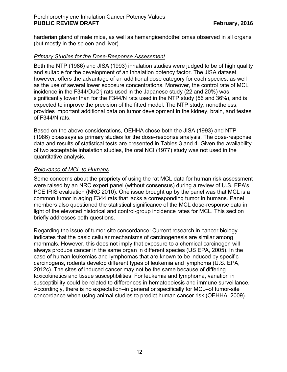harderian gland of male mice, as well as hemangioendotheliomas observed in all organs (but mostly in the spleen and liver).

# *Primary Studies for the Dose-Response Assessment*

Both the NTP (1986) and JISA (1993) inhalation studies were judged to be of high quality and suitable for the development of an inhalation potency factor. The JISA dataset, however, offers the advantage of an additional dose category for each species, as well as the use of several lower exposure concentrations. Moreover, the control rate of MCL incidence in the F344/DuCrj rats used in the Japanese study (22 and 20%) was significantly lower than for the F344/N rats used in the NTP study (56 and 36%), and is expected to improve the precision of the fitted model. The NTP study, nonetheless, provides important additional data on tumor development in the kidney, brain, and testes of F344/N rats.

Based on the above considerations, OEHHA chose both the JISA (1993) and NTP (1986) bioassays as primary studies for the dose-response analysis. The dose-response data and results of statistical tests are presented in Tables 3 and 4. Given the availability of two acceptable inhalation studies, the oral NCI (1977) study was not used in the quantitative analysis.

# *Relevance of MCL to Humans*

Some concerns about the propriety of using the rat MCL data for human risk assessment were raised by an NRC expert panel (without consensus) during a review of U.S. EPA's PCE IRIS evaluation (NRC 2010). One issue brought up by the panel was that MCL is a common tumor in aging F344 rats that lacks a corresponding tumor in humans. Panel members also questioned the statistical significance of the MCL dose-response data in light of the elevated historical and control-group incidence rates for MCL. This section briefly addresses both questions.

Regarding the issue of tumor-site concordance: Current research in cancer biology indicates that the basic cellular mechanisms of carcinogenesis are similar among mammals. However, this does not imply that exposure to a chemical carcinogen will always produce cancer in the same organ in different species (US EPA, 2005). In the case of human leukemias and lymphomas that are known to be induced by specific carcinogens, rodents develop different types of leukemia and lymphoma (U.S. EPA, 2012c). The sites of induced cancer may not be the same because of differing toxicokinetics and tissue susceptibilities. For leukemia and lymphoma, variation in susceptibility could be related to differences in hematopoiesis and immune surveillance. Accordingly, there is no expectation–in general or specifically for MCL–of tumor-site concordance when using animal studies to predict human cancer risk (OEHHA, 2009).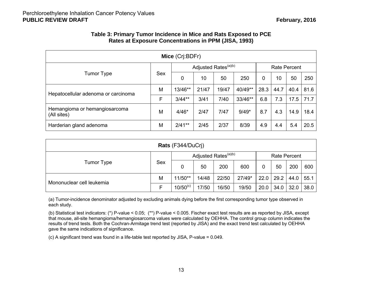| Mice (Crj:BDFr)                              |     |                                  |       |       |         |                |      |      |      |
|----------------------------------------------|-----|----------------------------------|-------|-------|---------|----------------|------|------|------|
|                                              |     | Adjusted Rates <sup>(a)(b)</sup> |       |       |         | Rate Percent   |      |      |      |
| Tumor Type                                   | Sex | 0                                | 10    | 50    | 250     | $\overline{0}$ | 10   | 50   | 250  |
| Hepatocellular adenoma or carcinoma          | M   | 13/46**                          | 21/47 | 19/47 | 40/49** | 28.3           | 44.7 | 40.4 | 81.6 |
|                                              | F   | $3/44**$                         | 3/41  | 7/40  | 33/46** | 6.8            | 7.3  | 17.5 | 71.7 |
| Hemangioma or hemangiosarcoma<br>(All sites) | M   | $4/46*$                          | 2/47  | 7/47  | $9/49*$ | 8.7            | 4.3  | 14.9 | 18.4 |
| Harderian gland adenoma                      | M   | $2/41**$                         | 2/45  | 2/37  | 8/39    | 4.9            | 4.4  | 5.4  | 20.5 |

#### **Table 3: Primary Tumor Incidence in Mice and Rats Exposed to PCE Rates at Exposure Concentrations in PPM (JISA, 1993)**

| Rats (F344/DuCri)         |     |                                  |       |       |          |                     |      |      |      |
|---------------------------|-----|----------------------------------|-------|-------|----------|---------------------|------|------|------|
|                           |     | Adjusted Rates <sup>(a)(b)</sup> |       |       |          | <b>Rate Percent</b> |      |      |      |
| Tumor Type                | Sex | 0                                | 50    | 200   | 600      | 0                   | 50   | 200  | 600  |
| Mononuclear cell leukemia | M   | $11/50**$                        | 14/48 | 22/50 | $27/49*$ | 22.0                | 29.2 | 44.0 | 55.1 |
|                           |     | $10/50^{(c)}$                    | 17/50 | 16/50 | 19/50    | 20.0                | 34.0 | 32.0 | 38.0 |

(a) Tumor-incidence denominator adjusted by excluding animals dying before the first corresponding tumor type observed in each study.

(b) Statistical test indicators: (\*) P-value < 0.05; (\*\*) P-value < 0.005. Fischer exact test results are as reported by JISA, except that mouse, all-site hemangioma/hemangiosarcoma values were calculated by OEHHA. The control group column indicates the results of trend tests. Both the Cochran-Armitage trend test (reported by JISA) and the exact trend test calculated by OEHHA gave the same indications of significance.

(c) A significant trend was found in a life-table test reported by JISA, P-value = 0.049.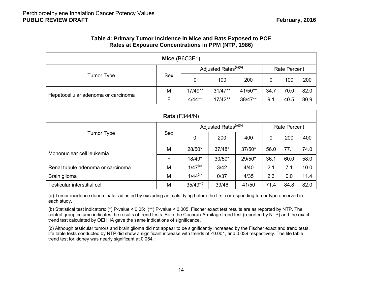| Mice (B6C3F1)                       |     |           |                                  |                     |      |      |      |  |
|-------------------------------------|-----|-----------|----------------------------------|---------------------|------|------|------|--|
|                                     |     |           | Adjusted Rates <sup>(a)(b)</sup> | <b>Rate Percent</b> |      |      |      |  |
| Tumor Type                          | Sex | 0         | 100                              | 200                 | 0    | 100  | 200  |  |
|                                     | M   | $17/49**$ | $31/47**$                        | 41/50**             | 34.7 | 70.0 | 82.0 |  |
| Hepatocellular adenoma or carcinoma | F   | $4/44**$  | $17/42**$                        | 38/47**             | 9.1  | 40.5 | 80.9 |  |

#### **Table 4: Primary Tumor Incidence in Mice and Rats Exposed to PCE Rates at Exposure Concentrations in PPM (NTP, 1986)**

| <b>Rats</b> (F344/N)              |            |                                                         |          |          |      |      |      |  |
|-----------------------------------|------------|---------------------------------------------------------|----------|----------|------|------|------|--|
|                                   |            | Adjusted Rates <sup>(a)(b)</sup><br><b>Rate Percent</b> |          |          |      |      |      |  |
| Tumor Type                        | <b>Sex</b> | 0                                                       | 200      | 400      | 0    | 200  | 400  |  |
| Mononuclear cell leukemia         | M          | 28/50*                                                  | $37/48*$ | $37/50*$ | 56.0 | 77.1 | 74.0 |  |
|                                   | F          | 18/49*                                                  | $30/50*$ | 29/50*   | 36.1 | 60.0 | 58.0 |  |
| Renal tubule adenoma or carcinoma | M          | $1/47^{(c)}$                                            | 3/42     | 4/40     | 2.1  | 7.1  | 10.0 |  |
| Brain glioma                      | M          | $1/44^{(c)}$                                            | 0/37     | 4/35     | 2.3  | 0.0  | 11.4 |  |
| Testicular interstitial cell      | M          | $35/49^{(c)}$                                           | 39/46    | 41/50    | 71.4 | 84.8 | 82.0 |  |

(a) Tumor-incidence denominator adjusted by excluding animals dying before the first corresponding tumor type observed in each study.

(b) Statistical test indicators: (\*) P-value < 0.05; (\*\*) P-value < 0.005. Fischer exact test results are as reported by NTP. The control group column indicates the results of trend tests. Both the Cochran-Armitage trend test (reported by NTP) and the exact trend test calculated by OEHHA gave the same indications of significance.

(c) Although testicular tumors and brain glioma did not appear to be significantly increased by the Fischer exact and trend tests, life table tests conducted by NTP did show a significant increase with trends of <0.001, and 0.039 respectively. The life table trend test for kidney was nearly significant at 0.054.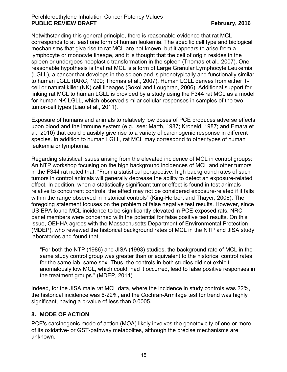Notwithstanding this general principle, there is reasonable evidence that rat MCL corresponds to at least one form of human leukemia. The specific cell type and biological mechanisms that give rise to rat MCL are not known, but it appears to arise from a lymphocyte or monocyte lineage, and it is thought that the cell of origin resides in the spleen or undergoes neoplastic transformation in the spleen (Thomas et al., 2007). One reasonable hypothesis is that rat MCL is a form of Large Granular Lymphocyte Leukemia (LGLL), a cancer that develops in the spleen and is phenotypically and functionally similar to human LGLL (IARC, 1990; Thomas et al., 2007). Human LGLL derives from either Tcell or natural killer (NK) cell lineages (Sokol and Loughran, 2006). Additional support for linking rat MCL to human LGLL is provided by a study using the F344 rat MCL as a model for human NK-LGLL, which observed similar cellular responses in samples of the two tumor-cell types (Liao et al., 2011).

Exposure of humans and animals to relatively low doses of PCE produces adverse effects upon blood and the immune system (e.g., see: Marth, 1987; Kroneld, 1987; and Emara et al., 2010) that could plausibly give rise to a variety of carcinogenic response in different species. In addition to human LGLL, rat MCL may correspond to other types of human leukemia or lymphoma.

Regarding statistical issues arising from the elevated incidence of MCL in control groups: An NTP workshop focusing on the high background incidences of MCL and other tumors in the F344 rat noted that, "From a statistical perspective, high background rates of such tumors in control animals will generally decrease the ability to detect an exposure-related effect. In addition, when a statistically significant tumor effect is found in test animals relative to concurrent controls, the effect may not be considered exposure-related if it falls within the range observed in historical controls" (King-Herbert and Thayer, 2006). The foregoing statement focuses on the problem of false negative test results. However, since US EPA found MCL incidence to be significantly elevated in PCE-exposed rats, NRC panel members were concerned with the potential for false positive test results. On this issue, OEHHA agrees with the Massachusetts Department of Environmental Protection (MDEP), who reviewed the historical background rates of MCL in the NTP and JISA study laboratories and found that,

"For both the NTP (1986) and JISA (1993) studies, the background rate of MCL in the same study control group was greater than or equivalent to the historical control rates for the same lab, same sex. Thus, the controls in both studies did not exhibit anomalously low MCL, which could, had it occurred, lead to false positive responses in the treatment groups." (MDEP, 2014)

Indeed, for the JISA male rat MCL data, where the incidence in study controls was 22%, the historical incidence was 6-22%, and the Cochran-Armitage test for trend was highly significant, having a p-value of less than 0.0005.

# **8. MODE OF ACTION**

PCE's carcinogenic mode of action (MOA) likely involves the genotoxicity of one or more of its oxidative- or GST-pathway metabolites, although the precise mechanisms are unknown.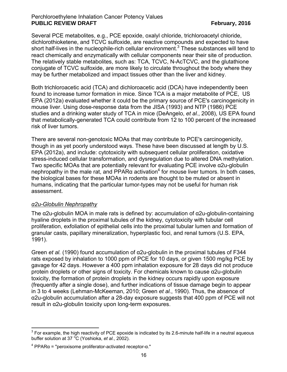Several PCE metabolites, e.g., PCE epoxide, oxalyl chloride, trichloroacetyl chloride, dichlorothioketene, and TCVC sulfoxide, are reactive compounds and expected to have short half-lives in the nucleophile-rich cellular environment.<sup>3</sup> These substances will tend to react chemically and enzymatically with cellular components near their site of production. The relatively stable metabolites, such as: TCA, TCVC, N-AcTCVC, and the glutathione conjugate of TCVC sulfoxide, are more likely to circulate throughout the body where they may be further metabolized and impact tissues other than the liver and kidney.

Both trichloroacetic acid (TCA) and dichloroacetic acid (DCA) have independently been found to increase tumor formation in mice. Since TCA is a major metabolite of PCE, US EPA (2012a) evaluated whether it could be the primary source of PCE's carcinogenicity in mouse liver. Using dose-response data from the JISA (1993) and NTP (1986) PCE studies and a drinking water study of TCA in mice (DeAngelo, *et al.*, 2008), US EPA found that metabolically-generated TCA could contribute from 12 to 100 percent of the increased risk of liver tumors.

There are several non-genotoxic MOAs that may contribute to PCE's carcinogenicity, though in as yet poorly understood ways. These have been discussed at length by U.S. EPA (2012a), and include: cytotoxicity with subsequent cellular proliferation, oxidative stress-induced cellular transformation, and dysregulation due to altered DNA methylation. Two specific MOAs that are potentially relevant for evaluating PCE involve α2u-globulin nephropathy in the male rat, and PPAR $\alpha$  activation<sup>4</sup> for mouse liver tumors. In both cases, the biological bases for these MOAs in rodents are thought to be muted or absent in humans, indicating that the particular tumor-types may not be useful for human risk assessment.

#### *α2u-Globulin Nephropathy*

The  $\alpha$ 2u-globulin MOA in male rats is defined by: accumulation of  $\alpha$ 2u-globulin-containing hyaline droplets in the proximal tubules of the kidney, cytotoxicity with tubular cell proliferation, exfoliation of epithelial cells into the proximal tubular lumen and formation of granular casts, papillary mineralization, hyperplastic foci, and renal tumors (U.S. EPA, 1991).

Green *et al.* (1990) found accumulation of α2u-globulin in the proximal tubules of F344 rats exposed by inhalation to 1000 ppm of PCE for 10 days, or given 1500 mg/kg PCE by gavage for 42 days. However a 400 ppm inhalation exposure for 28 days did not produce protein droplets or other signs of toxicity. For chemicals known to cause α2u-globulin toxicity, the formation of protein droplets in the kidney occurs rapidly upon exposure (frequently after a single dose), and further indications of tissue damage begin to appear in 3 to 4 weeks (Lehman-McKeeman, 2010; Green *et al.*, 1990). Thus, the absence of α2u-globulin accumulation after a 28-day exposure suggests that 400 ppm of PCE will not result in α2u-globulin toxicity upon long-term exposures.

  $3$  For example, the high reactivity of PCE epoxide is indicated by its 2.6-minute half-life in a neutral aqueous buffer solution at 37 °C (Yoshioka, *et al.*, 2002).

 $4$  PPARα = "peroxisome proliferator-activated receptor-α."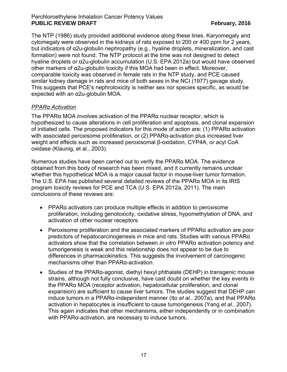The NTP (1986) study provided additional evidence along these lines. Karyomegaly and cytomegaly were observed in the kidneys of rats exposed to 200 or 400 ppm for 2 years, but indicators of α2u-globulin nephropathy (e.g., hyaline droplets, mineralization, and cast formation) were not found. The NTP protocol at the time was not designed to detect hyaline droplets or α2u-globulin accumulation (U.S. EPA 2012a) but would have observed other markers of α2u-globulin toxicity if this MOA had been in effect. Moreover, comparable toxicity was observed in female rats in the NTP study, and PCE caused similar kidney damage in rats and mice of both sexes in the NCI (1977) gavage study. This suggests that PCE's nephrotoxicity is neither sex nor species specific, as would be expected with an α2u-globulin MOA.

# *PPARα Activation*

The PPARα MOA involves activation of the PPARα nuclear receptor, which is hypothesized to cause alterations in cell proliferation and apoptosis, and clonal expansion of initiated cells. The proposed indicators for this mode of action are: (1) PPARα activation with associated peroxisome proliferation, or (2) PPARα-activation plus increased liver weight and effects such as increased peroxisomal β-oxidation, CYP4A, or acyl CoA oxidase (Klaunig, et al., 2003).

Numerous studies have been carried out to verify the PPARα MOA. The evidence obtained from this body of research has been mixed, and it currently remains unclear whether this hypothetical MOA is a major causal factor in mouse-liver tumor formation. The U.S. EPA has published several detailed reviews of the PPARα MOA in its IRIS program toxicity reviews for PCE and TCA (U.S. EPA 2012a, 2011). The main conclusions of these reviews are:

- PPARα activators can produce multiple effects in addition to peroxisome proliferation, including genotoxicity, oxidative stress, hypomethylation of DNA, and activation of other nuclear receptors.
- Peroxisome proliferation and the associated markers of PPARα activation are poor predictors of hepatocarcinogenesis in mice and rats. Studies with various PPARα activators show that the correlation between *in vitro* PPARα activation potency and tumorigenesis is weak and this relationship does not appear to be due to differences in pharmacokinetics. This suggests the involvement of carcinogenic mechanisms other than PPARα-activation.
- Studies of the PPARα-agonist, diethyl hexyl phthalate (DEHP) in transgenic mouse strains, although not fully conclusive, have cast doubt on whether the key events in the PPARα MOA (receptor activation, hepatocellular proliferation, and clonal expansion) are sufficient to cause liver tumors. The studies suggest that DEHP can induce tumors in a PPARα-independent manner (Ito *et al.*, 2007a), and that PPARα activation in hepatocytes is insufficient to cause tumorigenesis (Yang *et al.*, 2007). This again indicates that other mechanisms, either independently or in combination with PPARα-activation, are necessary to induce tumors.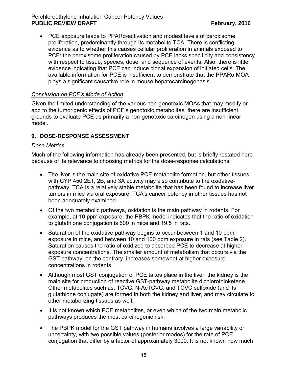• PCE exposure leads to PPARα-activation and modest levels of peroxisome proliferation, predominantly through its metabolite TCA. There is conflicting evidence as to whether this causes cellular proliferation in animals exposed to PCE: the peroxisome proliferation caused by PCE lacks specificity and consistency with respect to tissue, species, dose, and sequence of events. Also, there is little evidence indicating that PCE can induce clonal expansion of initiated cells. The available information for PCE is insufficient to demonstrate that the PPARα MOA plays a significant causative role in mouse hepatocarcinogenesis.

# *Conclusion on PCE's Mode of Action*

Given the limited understanding of the various non-genotoxic MOAs that may modify or add to the tumorigenic effects of PCE's genotoxic metabolites, there are insufficient grounds to evaluate PCE as primarily a non-genotoxic carcinogen using a non-linear model.

# **9. DOSE-RESPONSE ASSESSMENT**

# *Dose Metrics*

Much of the following information has already been presented, but is briefly restated here because of its relevance to choosing metrics for the dose-response calculations:

- The liver is the main site of oxidative PCE-metabolite formation, but other tissues with CYP 450 2E1, 2B, and 3A activity may also contribute to the oxidativepathway. TCA is a relatively stable metabolite that has been found to increase liver tumors in mice via oral exposure. TCA's cancer potency in other tissues has not been adequately examined.
- Of the two metabolic pathways, oxidation is the main pathway in rodents. For example, at 10 ppm exposure, the PBPK model indicates that the ratio of oxidation to glutathione conjugation is 600 in mice and 19.5 in rats.
- Saturation of the oxidative pathway begins to occur between 1 and 10 ppm exposure in mice, and between 10 and 100 ppm exposure in rats (see Table 2). Saturation causes the ratio of oxidized to absorbed PCE to decrease at higher exposure concentrations. The smaller amount of metabolism that occurs via the GST pathway, on the contrary, increases somewhat at higher exposure concentrations in rodents.
- Although most GST conjugation of PCE takes place in the liver, the kidney is the main site for production of reactive GST-pathway metabolite dichlorothioketene. Other metabolites such as: TCVC, N-AcTCVC, and TCVC sulfoxide (and its glutathione conjugate) are formed in both the kidney and liver, and may circulate to other metabolizing tissues as well.
- $\bullet$  It is not known which PCE metabolites, or even which of the two main metabolic pathways produces the most carcinogenic risk.
- The PBPK model for the GST pathway in humans involves a large variability or uncertainty, with two possible values (posterior modes) for the rate of PCE conjugation that differ by a factor of approximately 3000. It is not known how much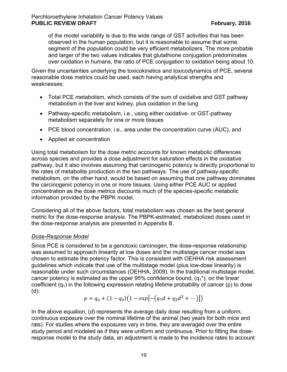of the model variability is due to the wide range of GST activities that has been observed in the human population, but it is reasonable to assume that some segment of the population could be very efficient metabolizers. The more probable and larger of the two values indicates that glutathione conjugation predominates over oxidation in humans, the ratio of PCE conjugation to oxidation being about 10.

Given the uncertainties underlying the toxicokinetics and toxicodynamics of PCE, several reasonable dose metrics could be used, each having analytical strengths and weaknesses:

- Total PCE metabolism, which consists of the sum of oxidative and GST pathway metabolism in the liver and kidney, plus oxidation in the lung
- Pathway-specific metabolism, i.e., using either oxidative- or GST-pathway metabolism separately for one or more tissues
- PCE blood concentration, i.e., area under the concentration curve (AUC), and
- Applied air concentration

Using total metabolism for the dose metric accounts for known metabolic differences across species and provides a dose adjustment for saturation effects in the oxidative pathway, but it also involves assuming that carcinogenic potency is directly proportional to the rates of metabolite production in the two pathways. The use of pathway-specific metabolism, on the other hand, would be based on assuming that one pathway dominates the carcinogenic potency in one or more tissues. Using either PCE AUC or applied concentration as the dose metrics discounts much of the species-specific metabolic information provided by the PBPK model.

Considering all of the above factors, total metabolism was chosen as the best general metric for the dose-response analysis. The PBPK-estimated, metabolized doses used in the dose-response analysis are presented in Appendix B.

# *Dose-Response Model*

Since PCE is considered to be a genotoxic carcinogen, the dose-response relationship was assumed to approach linearity at low doses and the multistage cancer model was chosen to estimate the potency factor. This is consistent with OEHHA risk assessment guidelines which indicate that use of the multistage model (plus low-dose linearity) is reasonable under such circumstances (OEHHA, 2009). In the traditional multistage model, cancer potency is estimated as the upper 95% confidence bound,  $(q_1^*)$ , on the linear coefficient  $(q_1)$  in the following expression relating lifetime probability of cancer (p) to dose (d):

$$
p = q_0 + (1 - q_0)(1 - exp[-(q_1d + q_2d^2 + \cdots)])
$$

In the above equation, (*d*) represents the average daily dose resulting from a uniform, continuous exposure over the nominal lifetime of the animal (two years for both mice and rats). For studies where the exposures vary in time, they are averaged over the entire study period and modeled as if they were uniform and continuous. Prior to fitting the doseresponse model to the study data, an adjustment is made to the incidence rates to account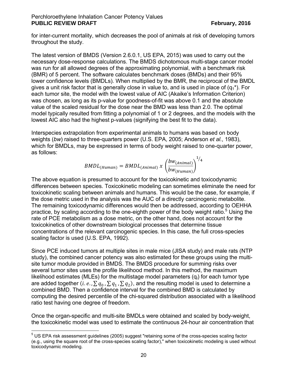for inter-current mortality, which decreases the pool of animals at risk of developing tumors throughout the study.

The latest version of BMDS (Version 2.6.0.1, US EPA, 2015) was used to carry out the necessary dose-response calculations. The BMDS dichotomous multi-stage cancer model was run for all allowed degrees of the approximating polynomial, with a benchmark risk (BMR) of 5 percent. The software calculates benchmark doses (BMDs) and their 95% lower confidence levels (BMDLs). When multiplied by the BMR, the reciprocal of the BMDL gives a unit risk factor that is generally close in value to, and is used in place of  $(q_1^*)$ . For each tumor site, the model with the lowest value of AIC (Akaike's Information Criterion) was chosen, as long as its p-value for goodness-of-fit was above 0.1 and the absolute value of the scaled residual for the dose near the BMD was less than 2.0. The optimal model typically resulted from fitting a polynomial of 1 or 2 degrees, and the models with the lowest AIC also had the highest p-values (signifying the best fit to the data).

Interspecies extrapolation from experimental animals to humans was based on body weights (*bw*) raised to three-quarters power (U.S. EPA, 2005; Anderson *et al.*, 1983), which for BMDLs, may be expressed in terms of body weight raised to one-quarter power, as follows:

$$
BMDL_{(Human)} = BMDL_{(Animal)} \times \left(\frac{bw_{(Animal)}}{bw_{(Human)}}\right)^{1/4}
$$

The above equation is presumed to account for the toxicokinetic and toxicodynamic differences between species. Toxicokinetic modeling can sometimes eliminate the need for toxicokinetic scaling between animals and humans. This would be the case, for example, if the dose metric used in the analysis was the AUC of a directly carcinogenic metabolite. The remaining toxicodynamic differences would then be addressed, according to OEHHA practice, by scaling according to the one-eighth power of the body weight ratio.<sup>5</sup> Using the rate of PCE metabolism as a dose metric, on the other hand, does not account for the toxicokinetics of other downstream biological processes that determine tissue concentrations of the relevant carcinogenic species. In this case, the full cross-species scaling factor is used (U.S. EPA, 1992).

Since PCE induced tumors at multiple sites in male mice (JISA study) and male rats (NTP study), the combined cancer potency was also estimated for these groups using the multisite tumor module provided in BMDS. The BMDS procedure for summing risks over several tumor sites uses the profile likelihood method. In this method, the maximum likelihood estimates (MLEs) for the multistage model parameters  $(q_i)$  for each tumor type are added together ( $i.e.$  ,  $\sum q_0$  ,  $\sum q_1$  ,  $\sum q_2$ ), and the resulting model is used to determine a combined BMD. Then a confidence interval for the combined BMD is calculated by computing the desired percentile of the chi-squared distribution associated with a likelihood ratio test having one degree of freedom.

Once the organ-specific and multi-site BMDLs were obtained and scaled by body-weight, the toxicokinetic model was used to estimate the continuous 24-hour air concentration that

 <sup>5</sup> US EPA risk assessment guidelines (2005) suggest "retaining some of the cross-species scaling factor (e.g., using the square root of the cross-species scaling factor)," when toxicokinetic modeling is used without toxicodynamic modeling.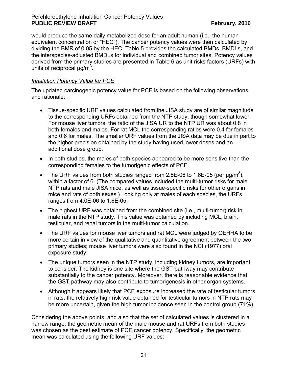would produce the same daily metabolized dose for an adult human (i.e., the human equivalent concentration or "HEC"). The cancer potency values were then calculated by dividing the BMR of 0.05 by the HEC. Table 5 provides the calculated BMDs, BMDLs, and the interspecies-adjusted BMDLs for individual and combined tumor sites. Potency values derived from the primary studies are presented in Table 6 as unit risks factors (URFs) with units of reciprocal µg/m<sup>3</sup>.

# *Inhalation Potency Value for PCE*

The updated carcinogenic potency value for PCE is based on the following observations and rationale:

- Tissue-specific URF values calculated from the JISA study are of similar magnitude to the corresponding URFs obtained from the NTP study, though somewhat lower. For mouse liver tumors, the ratio of the JISA UR to the NTP UR was about 0.8 in both females and males. For rat MCL the corresponding ratios were 0.4 for females and 0.6 for males. The smaller URF values from the JISA data may be due in part to the higher precision obtained by the study having used lower doses and an additional dose group.
- In both studies, the males of both species appeared to be more sensitive than the corresponding females to the tumorigenic effects of PCE.
- The URF values from both studies ranged from 2.8E-06 to 1.6E-05 (per  $\mu$ g/m<sup>3</sup>), within a factor of 6. (The compared values included the multi-tumor risks for male NTP rats and male JISA mice, as well as tissue-specific risks for other organs in mice and rats of both sexes.) Looking only at males of each species, the URFs ranges from 4.0E-06 to 1.6E-05.
- The highest URF was obtained from the combined site (i.e., multi-tumor) risk in male rats in the NTP study. This value was obtained by including MCL, brain, testicular, and renal tumors in the multi-tumor calculation.
- The URF values for mouse liver tumors and rat MCL were judged by OEHHA to be more certain in view of the qualitative and quantitative agreement between the two primary studies; mouse liver tumors were also found in the NCI (1977) oral exposure study.
- The unique tumors seen in the NTP study, including kidney tumors, are important to consider. The kidney is one site where the GST-pathway may contribute substantially to the cancer potency. Moreover, there is reasonable evidence that the GST-pathway may also contribute to tumorigenesis in other organ systems.
- Although it appears likely that PCE exposure increased the rate of testicular tumors in rats, the relatively high risk value obtained for testicular tumors in NTP rats may be more uncertain, given the high tumor incidence seen in the control group (71%).

Considering the above points, and also that the set of calculated values is clustered in a narrow range, the geometric mean of the male mouse and rat URFs from both studies was chosen as the best estimate of PCE cancer potency. Specifically, the geometric mean was calculated using the following URF values: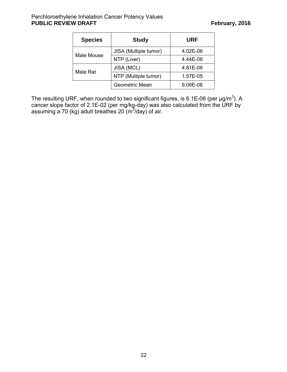| <b>Species</b> | <b>URF</b>            |          |
|----------------|-----------------------|----------|
| Male Mouse     | JISA (Multiple tumor) | 4.02E-06 |
|                | NTP (Liver)           | 4.44E-06 |
| Male Rat       | JISA (MCL)            | 4.81E-06 |
|                | NTP (Multiple tumor)  | 1.57E-05 |
|                | Geometric Mean        | 6.06E-06 |

The resulting URF, when rounded to two significant figures, is 6.1E-06 (per  $\mu$ g/m<sup>3</sup>). A cancer slope factor of 2.1E-02 (per mg/kg-day) was also calculated from the URF by assuming a 70 (kg) adult breathes 20  $(m<sup>3</sup>/day)$  of air.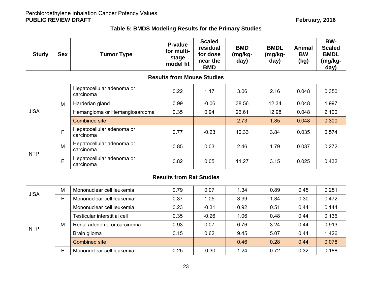# **Table 5: BMDS Modeling Results for the Primary Studies**

| <b>Study</b>                      | <b>Sex</b>   | <b>Tumor Type</b>                      | P-value<br>for multi-<br>stage<br>model fit | <b>Scaled</b><br>residual<br>for dose<br>near the<br><b>BMD</b> | <b>BMD</b><br>(mg/kg-<br>day) | <b>BMDL</b><br>(mg/kg-<br>day) | <b>Animal</b><br><b>BW</b><br>(kg) | BW-<br><b>Scaled</b><br><b>BMDL</b><br>(mg/kg-<br>day) |
|-----------------------------------|--------------|----------------------------------------|---------------------------------------------|-----------------------------------------------------------------|-------------------------------|--------------------------------|------------------------------------|--------------------------------------------------------|
| <b>Results from Mouse Studies</b> |              |                                        |                                             |                                                                 |                               |                                |                                    |                                                        |
|                                   |              | Hepatocellular adenoma or<br>carcinoma | 0.22                                        | 1.17                                                            | 3.06                          | 2.16                           | 0.048                              | 0.350                                                  |
|                                   | M            | Harderian gland                        | 0.99                                        | $-0.06$                                                         | 38.56                         | 12.34                          | 0.048                              | 1.997                                                  |
| <b>JISA</b>                       |              | Hemangioma or Hemangiosarcoma          | 0.35                                        | 0.94                                                            | 26.61                         | 12.98                          | 0.048                              | 2.100                                                  |
|                                   |              | <b>Combined site</b>                   |                                             |                                                                 | 2.73                          | 1.85                           | 0.048                              | 0.300                                                  |
|                                   | $\mathsf F$  | Hepatocellular adenoma or<br>carcinoma | 0.77                                        | $-0.23$                                                         | 10.33                         | 3.84                           | 0.035                              | 0.574                                                  |
| M                                 |              | Hepatocellular adenoma or<br>carcinoma | 0.85                                        | 0.03                                                            | 2.46                          | 1.79                           | 0.037                              | 0.272                                                  |
| <b>NTP</b>                        | F            | Hepatocellular adenoma or<br>carcinoma | 0.82                                        | 0.05                                                            | 11.27                         | 3.15                           | 0.025                              | 0.432                                                  |
|                                   |              |                                        | <b>Results from Rat Studies</b>             |                                                                 |                               |                                |                                    |                                                        |
| <b>JISA</b>                       | M            | Mononuclear cell leukemia              | 0.79                                        | 0.07                                                            | 1.34                          | 0.89                           | 0.45                               | 0.251                                                  |
|                                   | $\mathsf{F}$ | Mononuclear cell leukemia              | 0.37                                        | 1.05                                                            | 3.99                          | 1.84                           | 0.30                               | 0.472                                                  |
|                                   |              | Mononuclear cell leukemia              | 0.23                                        | $-0.31$                                                         | 0.92                          | 0.51                           | 0.44                               | 0.144                                                  |
|                                   |              | <b>Testicular interstitial cell</b>    | 0.35                                        | $-0.26$                                                         | 1.06                          | 0.48                           | 0.44                               | 0.136                                                  |
| <b>NTP</b>                        | M            | Renal adenoma or carcinoma             | 0.93                                        | 0.07                                                            | 6.76                          | 3.24                           | 0.44                               | 0.913                                                  |
|                                   |              | Brain glioma                           | 0.15                                        | 0.62                                                            | 9.45                          | 5.07                           | 0.44                               | 1.426                                                  |
|                                   |              | <b>Combined site</b>                   |                                             |                                                                 | 0.46                          | 0.28                           | 0.44                               | 0.078                                                  |
| F                                 |              | Mononuclear cell leukemia              | 0.25                                        | $-0.30$                                                         | 1.24                          | 0.72                           | 0.32                               | 0.188                                                  |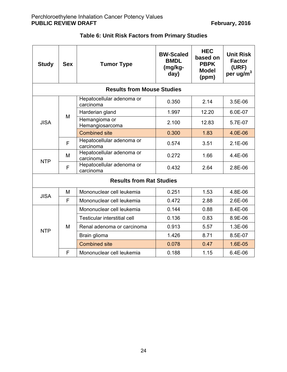| <b>Study</b> | <b>Sex</b>                        | <b>Tumor Type</b>                      | <b>BW-Scaled</b><br><b>BMDL</b><br>(mg/kg-<br>day) | <b>HEC</b><br>based on<br><b>PBPK</b><br><b>Model</b><br>(ppm) | <b>Unit Risk</b><br><b>Factor</b><br>(URF)<br>per ug/m <sup>3</sup> |  |  |  |  |
|--------------|-----------------------------------|----------------------------------------|----------------------------------------------------|----------------------------------------------------------------|---------------------------------------------------------------------|--|--|--|--|
|              | <b>Results from Mouse Studies</b> |                                        |                                                    |                                                                |                                                                     |  |  |  |  |
|              |                                   | Hepatocellular adenoma or<br>carcinoma | 0.350                                              | 2.14                                                           | 3.5E-06                                                             |  |  |  |  |
|              | м                                 | Harderian gland                        | 1.997                                              | 12.20                                                          | 6.0E-07                                                             |  |  |  |  |
| <b>JISA</b>  |                                   | Hemangioma or<br>Hemangiosarcoma       | 2.100                                              | 12.83                                                          | 5.7E-07                                                             |  |  |  |  |
|              |                                   | <b>Combined site</b>                   | 0.300                                              | 1.83                                                           | 4.0E-06                                                             |  |  |  |  |
|              | F                                 | Hepatocellular adenoma or<br>carcinoma | 0.574                                              | 3.51                                                           | $2.1E-06$                                                           |  |  |  |  |
| <b>NTP</b>   | м                                 | Hepatocellular adenoma or<br>carcinoma | 0.272                                              | 1.66                                                           | 4.4E-06                                                             |  |  |  |  |
|              | F                                 | Hepatocellular adenoma or<br>carcinoma | 0.432                                              | 2.64                                                           | 2.8E-06                                                             |  |  |  |  |
|              |                                   | <b>Results from Rat Studies</b>        |                                                    |                                                                |                                                                     |  |  |  |  |
| <b>JISA</b>  | M                                 | Mononuclear cell leukemia              | 0.251                                              | 1.53                                                           | 4.8E-06                                                             |  |  |  |  |
|              | F                                 | Mononuclear cell leukemia              | 0.472                                              | 2.88                                                           | 2.6E-06                                                             |  |  |  |  |
|              |                                   | Mononuclear cell leukemia              | 0.144                                              | 0.88                                                           | 8.4E-06                                                             |  |  |  |  |
|              |                                   | Testicular interstitial cell           | 0.136                                              | 0.83                                                           | 8.9E-06                                                             |  |  |  |  |
| <b>NTP</b>   | M                                 | Renal adenoma or carcinoma             | 0.913                                              | 5.57                                                           | 1.3E-06                                                             |  |  |  |  |
|              |                                   | Brain glioma                           | 1.426                                              | 8.71                                                           | 8.5E-07                                                             |  |  |  |  |
|              |                                   | <b>Combined site</b>                   | 0.078                                              | 0.47                                                           | 1.6E-05                                                             |  |  |  |  |
|              | F                                 | Mononuclear cell leukemia              | 0.188                                              | 1.15                                                           | 6.4E-06                                                             |  |  |  |  |

# **Table 6: Unit Risk Factors from Primary Studies**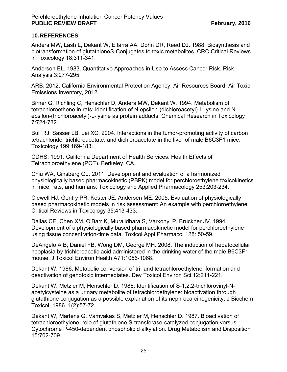# **10. REFERENCES**

Anders MW, Lash L, Dekant W, Elfarra AA, Dohn DR, Reed DJ. 1988. Biosynthesis and biotransformation of glutathioneS-Conjugates to toxic metabolites. CRC Critical Reviews in Toxicology 18:311-341.

Anderson EL. 1983. Quantitative Approaches in Use to Assess Cancer Risk. Risk Analysis 3:277-295.

ARB. 2012. California Environmental Protection Agency, Air Resources Board, Air Toxic Emissions Inventory, 2012.

Birner G, Richling C, Henschler D, Anders MW, Dekant W. 1994. Metabolism of tetrachloroethene in rats: identification of N epsilon-(dichloroacetyl)-L-lysine and N epsilon-(trichloroacetyl)-L-lysine as protein adducts. Chemical Research in Toxicology 7:724-732.

Bull RJ, Sasser LB, Lei XC. 2004. Interactions in the tumor-promoting activity of carbon tetrachloride, trichloroacetate, and dichloroacetate in the liver of male B6C3F1 mice. Toxicology 199:169-183.

CDHS. 1991. California Department of Health Services. Health Effects of Tetrachloroethylene (PCE). Berkeley, CA.

Chiu WA, Ginsberg GL. 2011. Development and evaluation of a harmonized physiologically based pharmacokinetic (PBPK) model for perchloroethylene toxicokinetics in mice, rats, and humans. Toxicology and Applied Pharmacology 253:203-234.

Clewell HJ, Gentry PR, Kester JE, Andersen ME. 2005. Evaluation of physiologically based pharmacokinetic models in risk assessment: An example with perchloroethylene. Critical Reviews in Toxicology 35:413-433.

Dallas CE, Chen XM, O'Barr K, Muralidhara S, Varkonyi P, Bruckner JV. 1994. Development of a physiologically based pharmacokinetic model for perchloroethylene using tissue concentration-time data. Toxicol Appl Pharmacol 128: 50-59.

DeAngelo A B, Daniel FB, Wong DM, George MH. 2008. The induction of hepatocellular neoplasia by trichloroacetic acid administered in the drinking water of the male B6C3F1 mouse. J Toxicol Environ Health A71:1056-1068.

Dekant W. 1986. Metabolic conversion of tri- and tetrachloroethylene: formation and deactivation of genotoxic intermediates. Dev Toxicol Environ Sci 12:211-221.

Dekant W, Metzler M, Henschler D. 1986. Identification of S-1,2,2-trichlorovinyl-Nacetylcysteine as a urinary metabolite of tetrachloroethylene: bioactivation through glutathione conjugation as a possible explanation of its nephrocarcinogenicity. J Biochem Toxicol. 1986. 1(2):57-72.

Dekant W, Martens G, Vamvakas S, Metzler M, Henschler D. 1987. Bioactivation of tetrachloroethylene: role of glutathione S-transferase-catalyzed conjugation versus Cytochrome P-450-dependent phospholipid alkylation. Drug Metabolism and Disposition 15:702-709.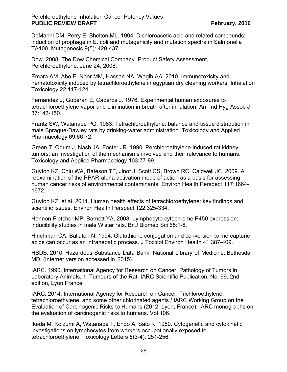DeMarini DM, Perry E, Shelton ML. 1994. Dichloroacetic acid and related compounds: induction of prophage in E. coli and mutagenicity and mutation spectra in Salmonella TA100. Mutagenesis 9(5): 429-437.

Dow. 2008. The Dow Chemical Company. Product Safety Assessment, Perchloroethylene. June 24, 2008.

Emara AM, Abo El-Noor MM, Hassan NA, Wagih AA. 2010. Immunotoxicity and hematotoxicity induced by tetrachloroethylene in egyptian dry cleaning workers. Inhalation Toxicology 22:117-124.

Fernandez J, Guberan E, Caperos J. 1976. Experimental human exposures to tetrachloroethylene vapor and elimination in breath after inhalation. Am Ind Hyg Assoc J 37:143-150.

Frantz SW, Watanabe PG. 1983. Tetrachloroethylene: balance and tissue distribution in male Sprague-Dawley rats by drinking-water administration. Toxicology and Applied Pharmacology 69:66-72.

Green T, Odum J, Nash JA, Foster JR. 1990. Perchloroethylene-induced rat kidney tumors: an investigation of the mechanisms involved and their relevance to humans. Toxicology and Applied Pharmacology 103:77-89.

Guyton KZ, Chiu WA, Bateson TF, Jinot J, Scott CS, Brown RC, Caldwell JC. 2009. A reexamination of the PPAR-alpha activation mode of action as a basis for assessing human cancer risks of environmental contaminants. Environ Health Perspect 117:1664 1672.

Guyton KZ, et al. 2014. Human health effects of tetrachloroethylene: key findings and scientific issues. Environ Health Perspect 122:325-334.

Hannon-Fletcher MP, Barnett YA. 2008. Lymphocyte cytochrome P450 expression: inducibility studies in male Wistar rats. Br J Biomed Sci 65:1-6.

Hinchman CA, Ballatori N. 1994. Glutathione conjugation and conversion to mercapturic acids can occur as an intrahepatic process. J Toxicol Environ Health 41:387-409.

HSDB. 2010. Hazardous Substance Data Bank. National Library of Medicine, Bethesda MD. (Internet version accessed in 2015).

IARC. 1990. International Agency for Research on Cancer. Pathology of Tumors in Laboratory Animals, 1: Tumours of the Rat. IARC Scientific Publication, No. 99, 2nd edition, Lyon France.

IARC. 2014. International Agency for Research on Cancer. Trichloroethylene, tetrachloroethylene, and some other chlorinated agents / IARC Working Group on the Evaluation of Carcinogenic Risks to Humans (2012: Lyon, France). IARC monographs on the evaluation of carcinogenic risks to humans. Vol 106.

Ikeda M, Koizumi A, Watanabe T, Endo A, Sato K. 1980. Cytogenetic and cytokinetic investigations on lymphocytes from workers occupationally exposed to tetrachloroethylene. Toxicology Letters 5(3-4): 251-256.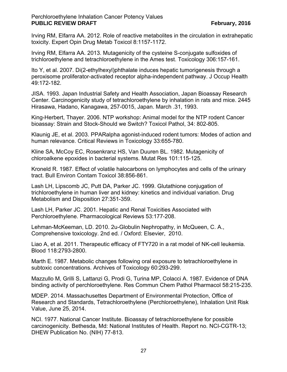Irving RM, Elfarra AA. 2012. Role of reactive metabolites in the circulation in extrahepatic toxicity. Expert Opin Drug Metab Toxicol 8:1157-1172.

Irving RM, Elfarra AA. 2013. Mutagenicity of the cysteine S-conjugate sulfoxides of trichloroethylene and tetrachloroethylene in the Ames test. Toxicology 306:157-161.

Ito Y, et al. 2007. Di(2-ethylhexyl)phthalate induces hepatic tumorigenesis through a peroxisome proliferator-activated receptor alpha-independent pathway. J Occup Health 49:172-182.

JISA. 1993. Japan Industrial Safety and Health Association, Japan Bioassay Research Center. Carcinogenicity study of tetrachloroethylene by inhalation in rats and mice. 2445 Hirasawa, Hadano, Kanagawa, 257-0015, Japan. March .31, 1993.

King-Herbert, Thayer. 2006. NTP workshop: Animal model for the NTP rodent Cancer bioassay: Strain and Stock-Should we Switch? Toxicol Pathol, 34: 802-805.

Klaunig JE, et al. 2003. PPARalpha agonist-induced rodent tumors: Modes of action and human relevance. Critical Reviews in Toxicology 33:655-780.

Kline SA, McCoy EC, Rosenkranz HS, Van Duuren BL. 1982. Mutagenicity of chloroalkene epoxides in bacterial systems. Mutat Res 101:115-125.

Kroneld R. 1987. Effect of volatile halocarbons on lymphocytes and cells of the urinary tract. Bull Environ Contam Toxicol 38:856-861.

Lash LH, Lipscomb JC, Putt DA, Parker JC. 1999. Glutathione conjugation of trichloroethylene in human liver and kidney: kinetics and individual variation. Drug Metabolism and Disposition 27:351-359.

Lash LH, Parker JC. 2001. Hepatic and Renal Toxicities Associated with Perchloroethylene. Pharmacological Reviews 53:177-208.

Lehman-McKeeman, LD. 2010. 2u-Globulin Nephropathy, in McQueen, C. A., Comprehensive toxicology. 2nd ed. / Oxford: Elsevier, 2010.

Liao A, et al. 2011. Therapeutic efficacy of FTY720 in a rat model of NK-cell leukemia. Blood 118:2793-2800.

Marth E. 1987. Metabolic changes following oral exposure to tetrachloroethylene in subtoxic concentrations. Archives of Toxicology 60:293-299.

Mazzullo M, Grilli S, Lattanzi G, Prodi G, Turina MP, Colacci A. 1987. Evidence of DNA binding activity of perchloroethylene. Res Commun Chem Pathol Pharmacol 58:215-235.

MDEP. 2014. Massachusettes Department of Environmental Protection, Office of Research and Standards, Tetrachloroethylene (Perchloroethylene), Inhalation Unit Risk Value, June 25, 2014.

NCI. 1977. National Cancer Institute. Bioassay of tetrachloroethylene for possible carcinogenicity. Bethesda, Md: National Institutes of Health. Report no. NCI-CGTR-13; DHEW Publication No. (NIH) 77-813.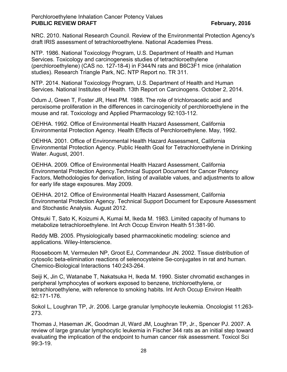NRC. 2010. National Research Council. Review of the Environmental Protection Agency's draft IRIS assessment of tetrachloroethylene. National Academies Press.

NTP. 1986. National Toxicology Program, U.S. Department of Health and Human Services. Toxicology and carcinogenesis studies of tetrachloroethylene (perchloroethylene) (CAS no. 127-18-4) in F344/N rats and B6C3F1 mice (inhalation studies). Research Triangle Park, NC. NTP Report no. TR 311.

NTP. 2014. National Toxicology Program, U.S. Department of Health and Human Services. National Institutes of Health. 13th Report on Carcinogens. October 2, 2014.

Odum J, Green T, Foster JR, Hext PM. 1988. The role of trichloroacetic acid and peroxisome proliferation in the differences in carcinogenicity of perchloroethylene in the mouse and rat. Toxicology and Applied Pharmacology 92:103-112.

OEHHA. 1992. Office of Environmental Health Hazard Assessment, California Environmental Protection Agency. Health Effects of Perchloroethylene. May, 1992.

OEHHA. 2001. Office of Environmental Health Hazard Assessment, California Environmental Protection Agency. Public Health Goal for Tetrachloroethylene in Drinking Water. August, 2001.

OEHHA. 2009. Office of Environmental Health Hazard Assessment, California Environmental Protection Agency.Technical Support Document for Cancer Potency Factors, Methodologies for derivation, listing of available values, and adjustments to allow for early life stage exposures. May 2009.

OEHHA. 2012. Office of Environmental Health Hazard Assessment, California Environmental Protection Agency. Technical Support Document for Exposure Assessment and Stochastic Analysis. August 2012.

Ohtsuki T, Sato K, Koizumi A, Kumai M, Ikeda M. 1983. Limited capacity of humans to metabolize tetrachloroethylene. Int Arch Occup Environ Health 51:381-90.

Reddy MB. 2005. Physiologically based pharmacokinetic modeling: science and applications. Wiley-Interscience.

Rooseboom M, Vermeulen NP, Groot EJ, Commandeur JN. 2002. Tissue distribution of cytosolic beta-elimination reactions of selenocysteine Se-conjugates in rat and human. Chemico-Biological Interactions 140:243-264.

Seiji K, Jin C, Watanabe T, Nakatsuka H, Ikeda M. 1990. Sister chromatid exchanges in peripheral lymphocytes of workers exposed to benzene, trichloroethylene, or tetrachloroethylene, with reference to smoking habits. Int Arch Occup Environ Health 62:171-176.

Sokol L, Loughran TP, Jr. 2006. Large granular lymphocyte leukemia. Oncologist 11:263 273.

Thomas J, Haseman JK, Goodman JI, Ward JM, Loughran TP, Jr., Spencer PJ. 2007. A review of large granular lymphocytic leukemia in Fischer 344 rats as an initial step toward evaluating the implication of the endpoint to human cancer risk assessment. Toxicol Sci 99:3-19.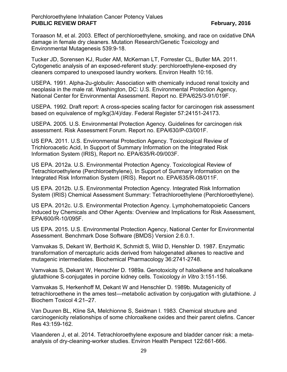Toraason M, et al. 2003. Effect of perchloroethylene, smoking, and race on oxidative DNA damage in female dry cleaners. Mutation Research/Genetic Toxicology and Environmental Mutagenesis 539:9-18.

Tucker JD, Sorensen KJ, Ruder AM, McKernan LT, Forrester CL, Butler MA. 2011. Cytogenetic analysis of an exposed-referent study: perchloroethylene-exposed dry cleaners compared to unexposed laundry workers. Environ Health 10:16.

USEPA. 1991. Alpha-2u-globulin: Association with chemically induced renal toxicity and neoplasia in the male rat. Washington, DC: U.S. Environmental Protection Agency, National Center for Environmental Assessment. Report no. EPA/625/3-91/019F.

USEPA. 1992. Draft report: A cross-species scaling factor for carcinogen risk assessment based on equivalence of mg/kg(3/4)/day. Federal Register 57:24151-24173.

USEPA. 2005. U.S. Environmental Protection Agency. Guidelines for carcinogen risk assessment. Risk Assessment Forum. Report no. EPA/630/P-03/001F.

US EPA. 2011. U.S. Environmental Protection Agency. Toxicological Review of Trichloroacetic Acid, In Support of Summary Information on the Integrated Risk Information System (IRIS), Report no. EPA/635/R-09/003F.

US EPA. 2012a. U.S. Environmental Protection Agency. Toxicological Review of Tetrachloroethylene (Perchloroethylene), In Support of Summary Information on the Integrated Risk Information System (IRIS). Report no. EPA/635/R-08/011F.

US EPA. 2012b. U.S. Environmental Protection Agency. Integrated Risk Information System (IRIS) Chemical Assessment Summary: Tetrachloroethylene (Perchloroethylene).

US EPA. 2012c. U.S. Environmental Protection Agency. Lymphohematopoietic Cancers Induced by Chemicals and Other Agents: Overview and Implications for Risk Assessment, EPA/600/R-10/095F.

US EPA. 2015. U.S. Environmental Protection Agency, National Center for Environmental Assessment. Benchmark Dose Software (BMDS) Version 2.6.0.1.

Vamvakas S, Dekant W, Berthold K, Schmidt S, Wild D, Henshler D. 1987. Enzymatic transformation of mercapturic acids derived from halogenated alkenes to reactive and mutagenic intermediates. Biochemical Pharmacology 36:2741-2748.

Vamvakas S, Dekant W, Henschler D. 1989a. Genotoxicity of haloalkene and haloalkane glutathione S-conjugates in porcine kidney cells. Toxicology *in Vitro* 3:151-156.

Vamvakas S, Herkenhoff M, Dekant W and Henschler D. 1989b. Mutagenicity of tetrachloroethene in the ames test—metabolic activation by conjugation with glutathione. J Biochem Toxicol 4:21–27.

Van Duuren BL, Kline SA, Melchionne S, Seidman I. 1983. Chemical structure and carcinogenicity relationships of some chloroalkene oxides and their parent olefins. Cancer Res 43:159-162.

Vlaanderen J, et al. 2014. Tetrachloroethylene exposure and bladder cancer risk: a metaanalysis of dry-cleaning-worker studies. Environ Health Perspect 122:661-666.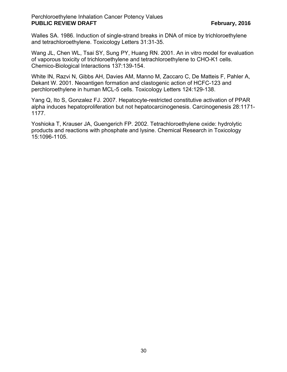Walles SA. 1986. Induction of single-strand breaks in DNA of mice by trichloroethylene and tetrachloroethylene. Toxicology Letters 31:31-35.

Wang JL, Chen WL, Tsai SY, Sung PY, Huang RN. 2001. An in vitro model for evaluation of vaporous toxicity of trichloroethylene and tetrachloroethylene to CHO-K1 cells. Chemico-Biological Interactions 137:139-154.

White IN, Razvi N, Gibbs AH, Davies AM, Manno M, Zaccaro C, De Matteis F, Pahler A, Dekant W. 2001. Neoantigen formation and clastogenic action of HCFC-123 and perchloroethylene in human MCL-5 cells. Toxicology Letters 124:129-138.

Yang Q, Ito S, Gonzalez FJ. 2007. Hepatocyte-restricted constitutive activation of PPAR alpha induces hepatoproliferation but not hepatocarcinogenesis. Carcinogenesis 28:1171 1177.

Yoshioka T, Krauser JA, Guengerich FP. 2002. Tetrachloroethylene oxide: hydrolytic products and reactions with phosphate and lysine. Chemical Research in Toxicology 15:1096-1105.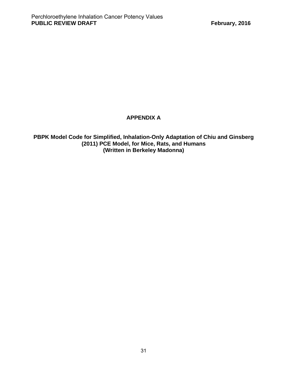# **APPENDIX A**

**PBPK Model Code for Simplified, Inhalation-Only Adaptation of Chiu and Ginsberg (2011) PCE Model, for Mice, Rats, and Humans (Written in Berkeley Madonna)**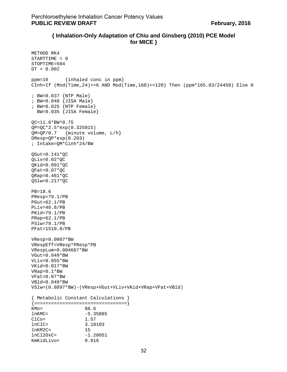#### **{ Inhalation-Only Adaptation of Chiu and Ginsberg (2010) PCE Model for MICE }**

```
 
KMo= 88.6 

ClCo= 1.57 
METHOD RK4 
STARTTIME = 0 
STOPTIME=504 
DT = 0.002 
ppm=10 {inhaled conc in ppm}
CInh=If (Mod(Time,24)<=6 AND Mod(Time,168)<=120) Then (ppm*165.83/24450) Else 0 
; BW=0.037 {NTP Male}
; BW=0.048 \{JISA Male\}: BW=0.025 {NTP Female}
 BW=0.035 {JISA Female} 
QC=11.6*BW^0.75
QP=QC*2.5*exp(0.325015)
QM=QP/0.7 {minute volume, L/h}
DResp=QP*exp(0.203)
; Intake=QM*Cinh*24/BW 
QGut=0.141*QCQLiv=0.02*QC
QKid=0.091*QC
QFact=0.07*QCQRap = 0.461*QCQSlw=0.217*QC 
PB=18.6 
PResp=79.1/PB
PGut=62.1/PB
PLiv=48.8/PB
PKid=79.1/PB
PRap=62.1/PB
PSlw=79.1/PB
PFat=1510.8/PB 
VResp=0.0007*BW
VRespEff=VResp*PResp*PB
VRespLum=0.004667*BW
VGut=0.049*BW 
VLiv=0.055*BW 
VKid=0.017*BW 
VRap=0.1*BW
VFat=0.07*BW 
VBld=0.049*BW 
VSlw=(0.8897*BW)-(VResp+VGut+VLiv+VKid+VRap+VFat+VBld) 
{ Metabolic Constant Calculations }
{=================================}
1nKMC= -5.35885<br>ClCo= 1.571nC1C= 3.18103<br>1nKM2C= 15
lnKM2C =lnCl2OxC= -1.20051 
KmKidLivo= 0.616
```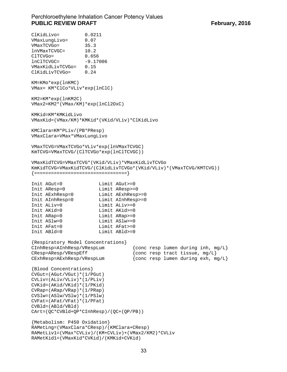ClKidLivo= 0.0211 VMaxLungLivo= 0.07 VMaxTCVGo= 35.3 lnVMaxTCVGC= 10.2 ClTCVGo= 0.656  $lnCITCVGC=$   $-9.17006$ VMaxKidLivTCVGo= 0.15 ClKidLivTCVGo= 0.24 KM=KMo\*exp(lnKMC) VMax= KM\*ClCo\*VLiv\*exp(lnClC) KM2=KM\*exp(lnKM2C) VMax2=KM2\*(VMax/KM)\*exp(lnCl2OxC) KMKid=KM\*KMKidLivo VMaxKid=(VMax/KM)\*KMKid\*(VKid/VLiv)\*ClKidLivo KMClara=KM\*PLiv/(PB\*PResp) VMaxClara=VMax\*VMaxLungLivo VMaxTCVG=VMaxTCVGo\*VLiv\*exp(lnVMaxTCVGC) KmTCVG=VMaxTCVG/(ClTCVGo\*exp(lnClTCVGC)) VMaxKidTCVG=VMaxTCVG\*(VKid/VLiv)\*VMaxKidLivTCVGo KmKidTCVG=VMaxKidTCVG/(ClKidLivTCVGo\*(VKid/VLiv)\*(VMaxTCVG/KMTCVG)) {=================================} Init AGut=0 Limit AGut>=0 Init AResp=0 Limit AResp>=0 Init AExhResp=0 Limit AExhResp>=0 Init AInhResp=0 Limit AInhResp>=0 Init ALiv=0 Limit ALiv>=0 Init AKid=0 Limit AKid>=0 Init ARap=0 Limit ARap>=0 Init ASlw=0 Limit ASlw>=0 Init AFat=0 Limit AFat>=0 Init ABld=0 Limit ABld>=0 {Respiratory Model Concentrations} CInhResp=AInhResp/VRespLum {conc resp lumen during inh, mg/L}  $C$ Resp=AResp/VRespEff  ${cone}$  resp tract tissue,  $mq/L$ } CExhResp=AExhResp/VRespLum {conc resp lumen during exh, mg/L} {Blood Concentrations} CVGut=(AGut/VGut)\*(1/PGut) CVLiv=(ALiv/VLiv)\*(1/PLiv) CVKid=(AKid/VKid)\*(1/PKid) CVRap=(ARap/VRap)\*(1/PRap) CVSlw=(ASlw/VSlw)\*(1/PSlw) CVFat=(AFat/VFat)\*(1/PFat) CVBld=(ABld/VBld) CArt=(QC\*CVBld+QP\*CInhResp)/(QC+(QP/PB)) {Metabolism: P450 Oxidation} RAMetLng=(VMaxClara\*CResp)/(KMClara+CResp) RAMetLiv1=(VMax\*CVLiv)/(KM+CVLiv)+(VMax2/KM2)\*CVLiv RAMetKid1=(VMaxKid\*CVKid)/(KMKid+CVKid)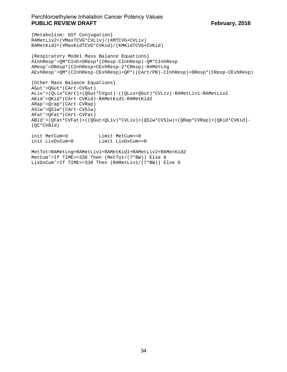```
{Metabolism: GST Conjugation}
RAMetLiv2=(VMaxTCVG*CVLiv)/(KMTCVG+CVLiv)
RAMetKid2=(VMaxKidTCVG*CVKid)/(KMKidTCVG+CVKid)
```

```
{Respiratory Model Mass Balance Equations}
AInhResp'=QM*CInh+DResp*(CResp-CInhResp)-QM*CInhResp
AResp'=DResp*(CInhResp+CExhResp-2*CResp)-RAMetLng
AExhResp'=QM*(CInhResp-CExhResp)+QP*((CArt/PB)-CInhResp)+DResp*(CResp-CExhResp)
```

```
{Other Mass Balance Equations}
AGut'=QGut*(CArt-CVGut)
ALiv'=(QLiv*CArt)+(QGut*CVgut)-((QLiv+QGut)*CVLiv)-RAMetLiv1-RAMetLiv2
AKid'=QKid*(CArt-CVKid)-RAMetKid1-RAMetKid2
ARap'=Qrap*(CArt-CVRap)
ASlw'=QSlw*(CArt-CVSlw)
AFat'=QFat*(CArt-CVFat)
ABld'=(QFat*CVFat)+((QGut+QLiv)*CVLiv)+(QSlw*CVSlw)+(QRap*CVRap)+(QKid*CVKid)-
(QC*CVBld)
```
init MetCum=0 Limit MetCum>=0 init LivOxCum=0 Limit LivOxCum>=0

MetTot=RAMetLng+RAMetLiv1+RAMetKid1+RAMetLiv2+RAMetKid2 MetCum'=If TIME>=336 Then (MetTot/(7\*BW)) Else 0 LivOxCum'=If TIME>=336 Then (RAMetLiv1/(7\*BW)) Else 0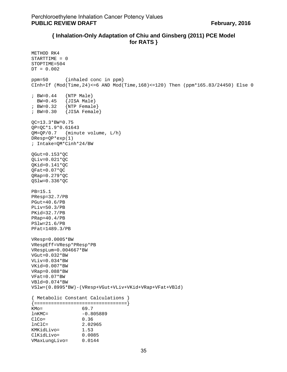#### **{ Inhalation-Only Adaptation of Chiu and Ginsberg (2011) PCE Model for RATS }**

```
METHOD RK4 
STARTTIME = 0 
STOPTIME=504 
DT = 0.002 
ppm=50 {inhaled conc in ppm}
CInh=If (Mod(Time,24)<=6 AND Mod(Time,168)<=120) Then (ppm*165.83/24450) Else 0 
; BW=0.44 {NTP Male}
 BW=0.45 {JISA Male}
; BW=0.32 {NTP Female}
; BW=0.30 {JISA Female} 
QC=13.3*BW^0.75
QP=QC*1.9*0.61643
QM=QP/0.7 {minute volume, L/h}
DResp=QP*exp(1)
; Intake=QM*Cinh*24/BW 
QGut=0.153*QCQLiv=0.021*QC
QKid = 0.141 * QCQFact=0.07*QCQRap = 0.279 * QCQSlw=0.336*QC 
PB=15.1 
PResp=32.7/PB
PGut=40.6/PB
PLiv=50.3/PB
PKid=32.7/PB
PRap=40.4/PB
PSlw=21.6/PB
PFat=1489.3/PB 
VResp=0.0005*BW
VRespEff=VResp*PResp*PB
VRespLum=0.004667*BW
VGut=0.032*BW 
VLiv=0.034*BW 
VKid=0.007*BW 
VRap=0.088*BW
VFat=0.07*BW 
VBld=0.074*BW 
VSlw=(0.8995*BW)-(VResp+VGut+VLiv+VKid+VRap+VFat+VBld) 
{ Metabolic Constant Calculations }
{=================================}
KMO = 69.7
lnKMC= -0.805889<br>ClCo= 0.36ClCo= 0.36 
lnClC= 2.02965 
KMKidLivo= 1.53 
ClKidLivo= 0.0085 
VMaxLungLivo= 0.0144
```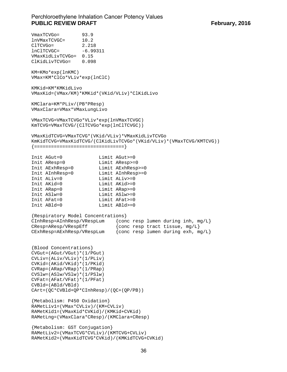VmaxTCVGo= 93.9 lnVMaxTCVGC= 10.2  $C1TCVGo =$  2.218  $lnCITCVGC=$   $-6.99311$ VMaxKidLivTCVGo= 0.15 ClKidLivTCVGo= 0.098 KM=KMo\*exp(lnKMC) VMax=KM\*ClCo\*VLiv\*exp(lnClC) KMKid=KM\*KMKidLivo VMaxKid=(VMax/KM)\*KMKid\*(VKid/VLiv)\*ClKidLivo KMClara=KM\*PLiv/(PB\*PResp) VMaxClara=VMax\*VMaxLungLivo VMaxTCVG=VMaxTCVGo\*VLiv\*exp(lnVMaxTCVGC) KmTCVG=VMaxTCVG/(ClTCVGo\*exp(lnClTCVGC)) VMaxKidTCVG=VMaxTCVG\*(VKid/VLiv)\*VMaxKidLivTCVGo KmKidTCVG=VMaxKidTCVG/(ClKidLivTCVGo\*(VKid/VLiv)\*(VMaxTCVG/KMTCVG)) {================================} Init AGut=0 Limit AGut>=0 Init AResp=0 Limit AResp>=0 Init AExhResp=0 Limit AExhResp>=0 Init AInhResp=0 Limit AInhResp>=0 Init ALiv=0 Limit ALiv>=0 Init AKid=0 Limit AKid>=0 Init ARap=0 Limit ARap>=0 Init ASlw=0 Limit ASlw>=0 Init AFat=0 Limit AFat>=0 Init ABld=0 Limit ABld>=0 {Respiratory Model Concentrations} CInhResp=AInhResp/VRespLum {conc resp lumen during inh, mg/L} CResp=AResp/VRespEff {conc resp tract tissue, mg/L} CExhResp=AExhResp/VRespLum {conc resp lumen during exh, mg/L} {Blood Concentrations} CVGut=(AGut/VGut)\*(1/PGut) CVLiv=(ALiv/VLiv)\*(1/PLiv) CVKid=(AKid/VKid)\*(1/PKid) CVRap=(ARap/VRap)\*(1/PRap) CVSlw=(ASlw/VSlw)\*(1/PSlw) CVFat=(AFat/VFat)\*(1/PFat) CVBld=(ABld/VBld) CArt=(QC\*CVBld+QP\*CInhResp)/(QC+(QP/PB)) {Metabolism: P450 Oxidation} RAMetLiv1=(VMax\*CVLiv)/(KM+CVLiv) RAMetKid1=(VMaxKid\*CVKid)/(KMKid+CVKid) RAMetLng=(VMaxClara\*CResp)/(KMClara+CResp) {Metabolism: GST Conjugation} RAMetLiv2=(VMaxTCVG\*CVLiv)/(KMTCVG+CVLiv) RAMetKid2=(VMaxKidTCVG\*CVKid)/(KMKidTCVG+CVKid)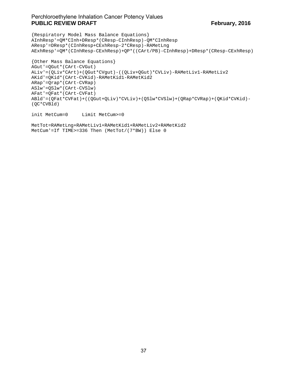```
{Respiratory Model Mass Balance Equations}
AInhResp'=QM*CInh+DResp*(CResp-CInhResp)-QM*CInhResp
AResp'=DResp*(CInhResp+CExhResp-2*CResp)-RAMetLng
AExhResp'=QM*(CInhResp-CExhResp)+QP*((CArt/PB)-CInhResp)+DResp*(CResp-CExhResp) 
{Other Mass Balance Equations}
AGut'=QGut*(CArt-CVGut)
ALiv'=(QLiv*CArt)+(QGut*CVgut)-((QLiv+QGut)*CVLiv)-RAMetLiv1-RAMetLiv2
AKid'=QKid*(CArt-CVKid)-RAMetKid1-RAMetKid2
ARap'=Qrap*(CArt-CVRap)
ASlw'=QSlw*(CArt-CVSlw)
AFat'=QFat*(CArt-CVFat)
ABld'=(QFat*CVFat)+((QGut+QLiv)*CVLiv)+(QSlw*CVSlw)+(QRap*CVRap)+(QKid*CVKid)-
(QC*CVBld)
```
init MetCum=0 Limit MetCum>=0

MetTot=RAMetLng+RAMetLiv1+RAMetKid1+RAMetLiv2+RAMetKid2 MetCum'=If TIME>=336 Then (MetTot/(7\*BW)) Else 0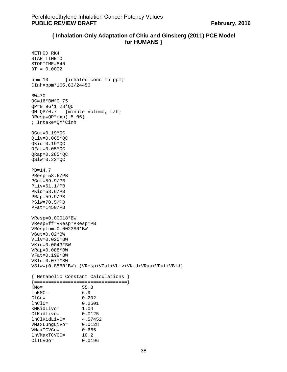#### **{ Inhalation-Only Adaptation of Chiu and Ginsberg (2011) PCE Model for HUMANS }**

METHOD RK4 STARTTIME=0 STOPTIME=840 DT = 0.0002 ppm=10 {inhaled conc in ppm} CInh=ppm\*165.83/24450 BW=70 QC=16\*BW^0.75 QP=0.96\*1.28\*QC QM=QP/0.7 {minute volume, L/h}  $DResp=QP*exp(-5.06)$ ; Intake=QM\*Cinh  $QGut=0.19*QC$ QLiv=0.065\*QC QKid=0.19\*QC QFat=0.05\*QC QRap=0.285\*QC  $QS1w=0.22*QC$ PB=14.7 PResp=58.6/PB PGut=59.9/PB PLiv=61.1/PB PKid=58.6/PB PRap=59.9/PB PSlw=70.5/PB PFat=1450/PB VResp=0.00018\*BW VRespEff=VResp\*PResp\*PB VRespLum=0.002386\*BW VGut=0.02\*BW VLiv=0.025\*BW VKid=0.0043\*BW VRap=0.088\*BW VFat=0.199\*BW VBld=0.077\*BW VSlw=(0.8560\*BW)-(VResp+VGut+VLiv+VKid+VRap+VFat+VBld) { Metabolic Constant Calculations } {=================================}  $KMO =$  55.8 lnKMC= 6.9 ClCo= 0.202 lnClC= 0.2501 KMKidLivo= 1.04 ClKidLivo= 0.0125 lnClKidLivC= 4.57452 VMaxLungLivo= 0.0128 VMaxTCVGo= 0.665 lnVMaxTCVGC= 10.2 ClTCVGo= 0.0196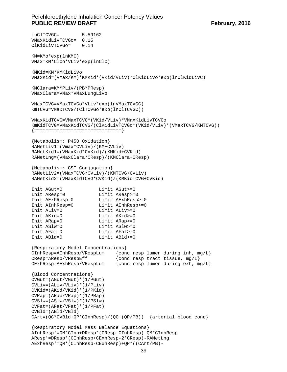lnClTCVGC= 5.59162 VMaxKidLivTCVGo= 0.15 ClKidLivTCVGo= 0.14 KM=KMo\*exp(lnKMC) VMax=KM\*ClCo\*VLiv\*exp(lnClC) KMKid=KM\*KMKidLivo VMaxKid=(VMax/KM)\*KMKid\*(VKid/VLiv)\*ClKidLivo\*exp(lnClKidLivC) KMClara=KM\*PLiv/(PB\*PResp) VMaxClara=VMax\*VMaxLungLivo VMaxTCVG=VMaxTCVGo\*VLiv\*exp(lnVMaxTCVGC) KmTCVG=VMaxTCVG/(ClTCVGo\*exp(lnClTCVGC)) VMaxKidTCVG=VMaxTCVG\*(VKid/VLiv)\*VMaxKidLivTCVGo KmKidTCVG=VMaxKidTCVG/(ClKidLivTCVGo\*(VKid/VLiv)\*(VMaxTCVG/KMTCVG)) {===============================} {Metabolism: P450 Oxidation} RAMetLiv1=(Vmax\*CVLiv)/(KM+CVLiv) RAMetKid1=(VMaxKid\*CVKid)/(KMKid+CVKid) RAMetLng=(VMaxClara\*CResp)/(KMClara+CResp) {Metabolism: GST Conjugation} RAMetLiv2=(VMaxTCVG\*CVLiv)/(KMTCVG+CVLiv) RAMetKid2=(VMaxKidTCVG\*CVKid)/(KMKidTCVG+CVKid) Init AGut=0 Limit AGut>=0 Init AResp=0 Limit AResp>=0 Init AExhResp=0 Limit AExhResp>=0 Init AInhResp=0 Limit AInhResp>=0 Init ALiv=0 Limit ALiv>=0 Init AKid=0 Limit AKid>=0 Init ARap=0 Limit ARap>=0 Init ASlw=0 Limit ASlw>=0 Init AFat=0 Limit AFat>=0 Init ABld=0 Limit ABld>=0 {Respiratory Model Concentrations} CInhResp=AInhResp/VRespLum {conc resp lumen during inh, mg/L} CResp=AResp/VRespEff  ${cone}$  fract tissue, mg/L CExhResp=AExhResp/VRespLum {conc resp lumen during exh, mg/L} {Blood Concentrations} CVGut=(AGut/VGut)\*(1/PGut) CVLiv=(ALiv/VLiv)\*(1/PLiv) CVKid=(AKid/VKid)\*(1/PKid) CVRap=(ARap/VRap)\*(1/PRap) CVSlw=(ASlw/VSlw)\*(1/PSlw) CVFat=(AFat/VFat)\*(1/PFat) CVBld=(ABld/VBld) CArt=(QC\*CVBld+QP\*CInhResp)/(QC+(QP/PB)) {arterial blood conc} {Respiratory Model Mass Balance Equations} AInhResp'=QM\*CInh+DResp\*(CResp-CInhResp)-QM\*CInhResp AResp'=DResp\*(CInhResp+CExhResp-2\*CResp)-RAMetLng AExhResp'=QM\*(CInhResp-CExhResp)+QP\*((CArt/PB)-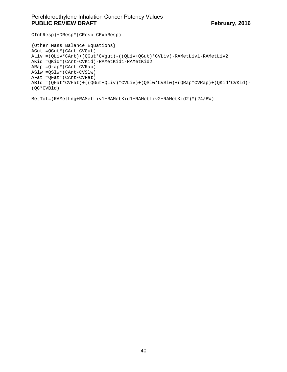CInhResp)+DResp\*(CResp-CExhResp)

```
{Other Mass Balance Equations}
AGut'=QGut*(CArt-CVGut)
ALiv'=(QLiv*CArt)+(QGut*CVgut)-((QLiv+QGut)*CVLiv)-RAMetLiv1-RAMetLiv2
AKid'=QKid*(CArt-CVKid)-RAMetKid1-RAMetKid2
ARap'=Qrap*(CArt-CVRap)
ASlw'=QSlw*(CArt-CVSlw)
AFat'=QFat*(CArt-CVFat)
ABld'=(QFat*CVFat)+((QGut+QLiv)*CVLiv)+(QSlw*CVSlw)+(QRap*CVRap)+(QKid*CVKid)-
(QC*CVBld)
```

```
MetTot=(RAMetLng+RAMetLiv1+RAMetKid1+RAMetLiv2+RAMetKid2)*(24/BW)
```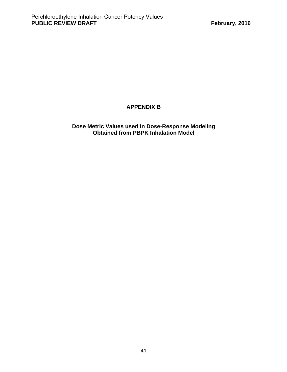# **APPENDIX B**

# **Dose Metric Values used in Dose-Response Modeling Obtained from PBPK Inhalation Model**